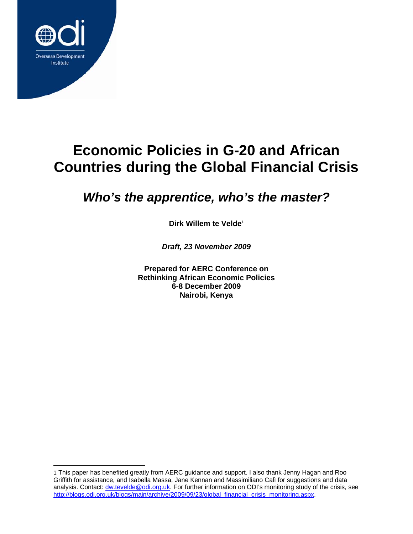

 $\overline{a}$ 

# **Economic Policies in G-20 and African Countries during the Global Financial Crisis**

## *Who's the apprentice, who's the master?*

**Dirk Willem te Velde1**

*Draft, 23 November 2009* 

**Prepared for AERC Conference on Rethinking African Economic Policies 6-8 December 2009 Nairobi, Kenya** 

<sup>1</sup> This paper has benefited greatly from AERC guidance and support. I also thank Jenny Hagan and Roo Griffith for assistance, and Isabella Massa, Jane Kennan and Massimiliano Calì for suggestions and data analysis. Contact: dw.tevelde@odi.org.uk. For further information on ODI's monitoring study of the crisis, see http://blogs.odi.org.uk/blogs/main/archive/2009/09/23/global\_financial\_crisis\_monitoring.aspx.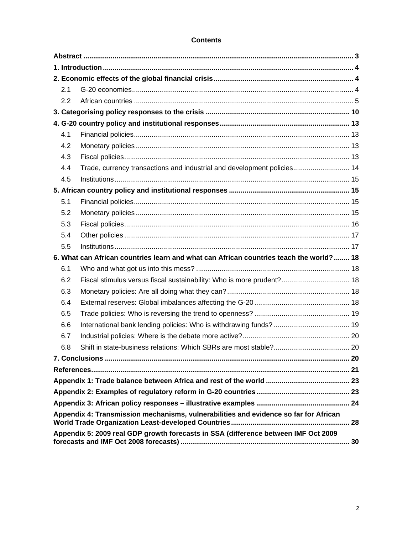## **Contents**

| 2.1 |                                                                                        |    |  |  |  |  |  |
|-----|----------------------------------------------------------------------------------------|----|--|--|--|--|--|
| 2.2 |                                                                                        |    |  |  |  |  |  |
|     |                                                                                        |    |  |  |  |  |  |
|     |                                                                                        |    |  |  |  |  |  |
| 4.1 |                                                                                        |    |  |  |  |  |  |
| 4.2 |                                                                                        |    |  |  |  |  |  |
| 4.3 |                                                                                        |    |  |  |  |  |  |
| 4.4 | Trade, currency transactions and industrial and development policies 14                |    |  |  |  |  |  |
| 4.5 |                                                                                        |    |  |  |  |  |  |
|     |                                                                                        |    |  |  |  |  |  |
| 5.1 |                                                                                        |    |  |  |  |  |  |
| 5.2 |                                                                                        |    |  |  |  |  |  |
| 5.3 |                                                                                        |    |  |  |  |  |  |
| 5.4 |                                                                                        |    |  |  |  |  |  |
| 5.5 |                                                                                        |    |  |  |  |  |  |
|     | 6. What can African countries learn and what can African countries teach the world? 18 |    |  |  |  |  |  |
| 6.1 |                                                                                        |    |  |  |  |  |  |
| 6.2 | Fiscal stimulus versus fiscal sustainability: Who is more prudent? 18                  |    |  |  |  |  |  |
| 6.3 |                                                                                        |    |  |  |  |  |  |
| 6.4 |                                                                                        |    |  |  |  |  |  |
| 6.5 |                                                                                        |    |  |  |  |  |  |
| 6.6 |                                                                                        |    |  |  |  |  |  |
| 6.7 |                                                                                        |    |  |  |  |  |  |
| 6.8 |                                                                                        |    |  |  |  |  |  |
|     |                                                                                        |    |  |  |  |  |  |
|     |                                                                                        |    |  |  |  |  |  |
|     |                                                                                        |    |  |  |  |  |  |
|     |                                                                                        |    |  |  |  |  |  |
|     |                                                                                        |    |  |  |  |  |  |
|     | Appendix 4: Transmission mechanisms, vulnerabilities and evidence so far for African   |    |  |  |  |  |  |
|     |                                                                                        | 28 |  |  |  |  |  |
|     | Appendix 5: 2009 real GDP growth forecasts in SSA (difference between IMF Oct 2009     |    |  |  |  |  |  |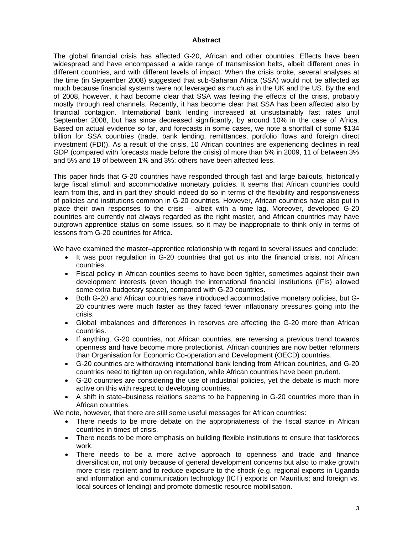#### **Abstract**

The global financial crisis has affected G-20, African and other countries. Effects have been widespread and have encompassed a wide range of transmission belts, albeit different ones in different countries, and with different levels of impact. When the crisis broke, several analyses at the time (in September 2008) suggested that sub-Saharan Africa (SSA) would not be affected as much because financial systems were not leveraged as much as in the UK and the US. By the end of 2008, however, it had become clear that SSA was feeling the effects of the crisis, probably mostly through real channels. Recently, it has become clear that SSA has been affected also by financial contagion. International bank lending increased at unsustainably fast rates until September 2008, but has since decreased significantly, by around 10% in the case of Africa. Based on actual evidence so far, and forecasts in some cases, we note a shortfall of some \$134 billion for SSA countries (trade, bank lending, remittances, portfolio flows and foreign direct investment (FDI)). As a result of the crisis, 10 African countries are experiencing declines in real GDP (compared with forecasts made before the crisis) of more than 5% in 2009, 11 of between 3% and 5% and 19 of between 1% and 3%; others have been affected less.

This paper finds that G-20 countries have responded through fast and large bailouts, historically large fiscal stimuli and accommodative monetary policies. It seems that African countries could learn from this, and in part they should indeed do so in terms of the flexibility and responsiveness of policies and institutions common in G-20 countries. However, African countries have also put in place their own responses to the crisis – albeit with a time lag. Moreover, developed G-20 countries are currently not always regarded as the right master, and African countries may have outgrown apprentice status on some issues, so it may be inappropriate to think only in terms of lessons from G-20 countries for Africa.

We have examined the master–apprentice relationship with regard to several issues and conclude:

- It was poor regulation in G-20 countries that got us into the financial crisis, not African countries.
- Fiscal policy in African counties seems to have been tighter, sometimes against their own development interests (even though the international financial institutions (IFIs) allowed some extra budgetary space), compared with G-20 countries.
- Both G-20 and African countries have introduced accommodative monetary policies, but G-20 countries were much faster as they faced fewer inflationary pressures going into the crisis.
- Global imbalances and differences in reserves are affecting the G-20 more than African countries.
- If anything, G-20 countries, not African countries, are reversing a previous trend towards openness and have become more protectionist. African countries are now better reformers than Organisation for Economic Co-operation and Development (OECD) countries.
- G-20 countries are withdrawing international bank lending from African countries, and G-20 countries need to tighten up on regulation, while African countries have been prudent.
- G-20 countries are considering the use of industrial policies, yet the debate is much more active on this with respect to developing countries.
- A shift in state–business relations seems to be happening in G-20 countries more than in African countries.

We note, however, that there are still some useful messages for African countries:

- There needs to be more debate on the appropriateness of the fiscal stance in African countries in times of crisis.
- There needs to be more emphasis on building flexible institutions to ensure that taskforces work.
- There needs to be a more active approach to openness and trade and finance diversification, not only because of general development concerns but also to make growth more crisis resilient and to reduce exposure to the shock (e.g. regional exports in Uganda and information and communication technology (ICT) exports on Mauritius; and foreign vs. local sources of lending) and promote domestic resource mobilisation.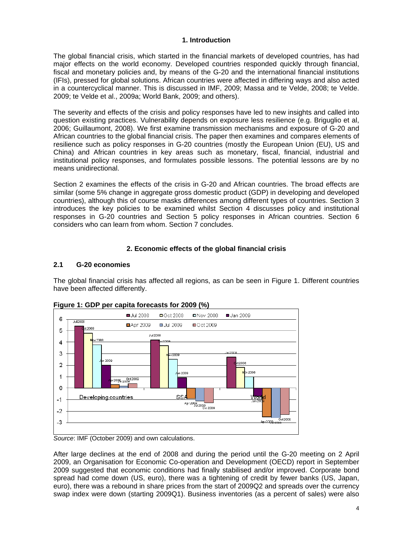## **1. Introduction**

The global financial crisis, which started in the financial markets of developed countries, has had major effects on the world economy. Developed countries responded quickly through financial, fiscal and monetary policies and, by means of the G-20 and the international financial institutions (IFIs), pressed for global solutions. African countries were affected in differing ways and also acted in a countercyclical manner. This is discussed in IMF, 2009; Massa and te Velde, 2008; te Velde. 2009; te Velde et al., 2009a; World Bank, 2009; and others).

The severity and effects of the crisis and policy responses have led to new insights and called into question existing practices. Vulnerability depends on exposure less resilience (e.g. Briguglio et al, 2006; Guillaumont, 2008). We first examine transmission mechanisms and exposure of G-20 and African countries to the global financial crisis. The paper then examines and compares elements of resilience such as policy responses in G-20 countries (mostly the European Union (EU), US and China) and African countries in key areas such as monetary, fiscal, financial, industrial and institutional policy responses, and formulates possible lessons. The potential lessons are by no means unidirectional.

Section 2 examines the effects of the crisis in G-20 and African countries. The broad effects are similar (some 5% change in aggregate gross domestic product (GDP) in developing and developed countries), although this of course masks differences among different types of countries. Section 3 introduces the key policies to be examined whilst Section 4 discusses policy and institutional responses in G-20 countries and Section 5 policy responses in African countries. Section 6 considers who can learn from whom. Section 7 concludes.

## **2. Economic effects of the global financial crisis**

## **2.1 G-20 economies**

The global financial crisis has affected all regions, as can be seen in Figure 1. Different countries have been affected differently.



**Figure 1: GDP per capita forecasts for 2009 (%)** 



After large declines at the end of 2008 and during the period until the G-20 meeting on 2 April 2009, an Organisation for Economic Co-operation and Development (OECD) report in September 2009 suggested that economic conditions had finally stabilised and/or improved. Corporate bond spread had come down (US, euro), there was a tightening of credit by fewer banks (US, Japan, euro), there was a rebound in share prices from the start of 2009Q2 and spreads over the currency swap index were down (starting 2009Q1). Business inventories (as a percent of sales) were also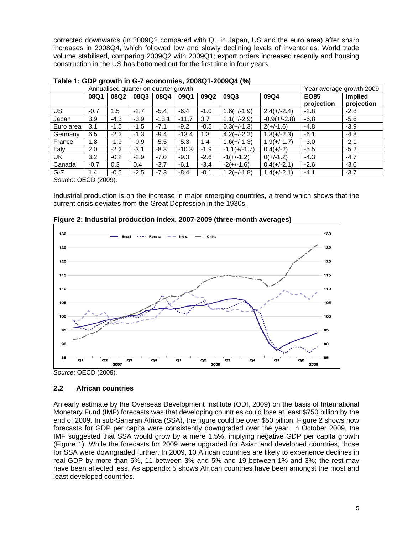corrected downwards (in 2009Q2 compared with Q1 in Japan, US and the euro area) after sharp increases in 2008Q4, which followed low and slowly declining levels of inventories. World trade volume stabilised, comparing 2009Q2 with 2009Q1; export orders increased recently and housing construction in the US has bottomed out for the first time in four years.

|           |        | Annualised quarter on quarter growth | Year average growth 2009 |         |         |        |                |                |             |                |
|-----------|--------|--------------------------------------|--------------------------|---------|---------|--------|----------------|----------------|-------------|----------------|
|           | 08Q1   | 08Q2                                 | 08Q3                     | 08Q4    | 09Q1    | 09Q2   | 09Q3           | 09Q4           | <b>EO85</b> | <b>Implied</b> |
|           |        |                                      |                          |         |         |        |                |                | projection  | projection     |
| US.       | $-0.7$ | 1.5                                  | $-2.7$                   | $-5.4$  | $-6.4$  | $-1.0$ | $1.6(+/-1.9)$  | $2.4(+/-2.4)$  | $-2.8$      | $-2.8$         |
| Japan     | 3.9    | $-4.3$                               | $-3.9$                   | $-13.1$ | $-11.7$ | 3.7    | $1.1(+/-2.9)$  | $-0.9(+/-2.8)$ | $-6.8$      | $-5.6$         |
| Euro area | 3.1    | $-1.5$                               | $-1.5$                   | $-7.1$  | $-9.2$  | $-0.5$ | $0.3(+/-1.3)$  | $2(+/-1.6)$    | $-4.8$      | $-3.9$         |
| Germany   | 6.5    | $-2.2$                               | $-1.3$                   | $-9.4$  | $-13.4$ | 1.3    | $4.2(+/-2.2)$  | $1.8(+/-2.3)$  | $-6.1$      | $-4.8$         |
| France    | 1.8    | $-1.9$                               | $-0.9$                   | $-5.5$  | $-5.3$  | 1.4    | $1.6(+/-1.3)$  | $1.9(+/-1.7)$  | $-3.0$      | $-2.1$         |
| Italy     | 2.0    | $-2.2$                               | $-3.1$                   | $-8.3$  | $-10.3$ | $-1.9$ | $-1.1(+/-1.7)$ | $0.4(+/-2)$    | $-5.5$      | $-5.2$         |
| <b>UK</b> | 3.2    | $-0.2$                               | $-2.9$                   | $-7.0$  | $-9.3$  | $-2.6$ | $-1(+/-1.2)$   | $0(+/-1.2)$    | $-4.3$      | $-4.7$         |
| Canada    | $-0.7$ | 0.3                                  | 0.4                      | $-3.7$  | $-6.1$  | $-3.4$ | $-2(+/-1.6)$   | $0.4(+/-2.1)$  | $-2.6$      | $-3.0$         |
| $G-7$     | 1.4    | $-0.5$                               | $-2.5$                   | $-7.3$  | $-8.4$  | $-0.1$ | $1.2(+/-1.8)$  | $1.4(+/-2.1)$  | $-4.1$      | $-3.7$         |

**Table 1: GDP growth in G-7 economies, 2008Q1-2009Q4 (%)** 

*Source*: OECD (2009).

Industrial production is on the increase in major emerging countries, a trend which shows that the current crisis deviates from the Great Depression in the 1930s.



**Figure 2: Industrial production index, 2007-2009 (three-month averages)** 

*Source*: OECD (2009).

## **2.2 African countries**

An early estimate by the Overseas Development Institute (ODI, 2009) on the basis of International Monetary Fund (IMF) forecasts was that developing countries could lose at least \$750 billion by the end of 2009. In sub-Saharan Africa (SSA), the figure could be over \$50 billion. Figure 2 shows how forecasts for GDP per capita were consistently downgraded over the year. In October 2009, the IMF suggested that SSA would grow by a mere 1.5%, implying negative GDP per capita growth (Figure 1). While the forecasts for 2009 were upgraded for Asian and developed countries, those for SSA were downgraded further. In 2009, 10 African countries are likely to experience declines in real GDP by more than 5%, 11 between 3% and 5% and 19 between 1% and 3%; the rest may have been affected less. As appendix 5 shows African countries have been amongst the most and least developed countries.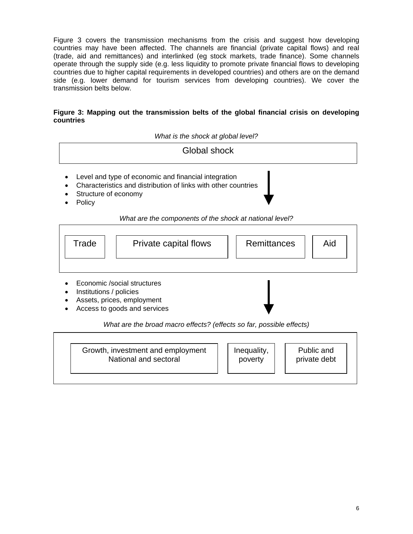Figure 3 covers the transmission mechanisms from the crisis and suggest how developing countries may have been affected. The channels are financial (private capital flows) and real (trade, aid and remittances) and interlinked (eg stock markets, trade finance). Some channels operate through the supply side (e.g. less liquidity to promote private financial flows to developing countries due to higher capital requirements in developed countries) and others are on the demand side (e.g. lower demand for tourism services from developing countries). We cover the transmission belts below.

## **Figure 3: Mapping out the transmission belts of the global financial crisis on developing countries**

*What is the shock at global level?* 



## *What are the components of the shock at national level?*



- Economic /social structures
- Institutions / policies
- Assets, prices, employment
- Access to goods and services

*What are the broad macro effects? (effects so far, possible effects)* 

| Growth, investment and employment<br>National and sectoral |  | Inequality,<br>poverty |  | Public and<br>private debt |  |
|------------------------------------------------------------|--|------------------------|--|----------------------------|--|
|------------------------------------------------------------|--|------------------------|--|----------------------------|--|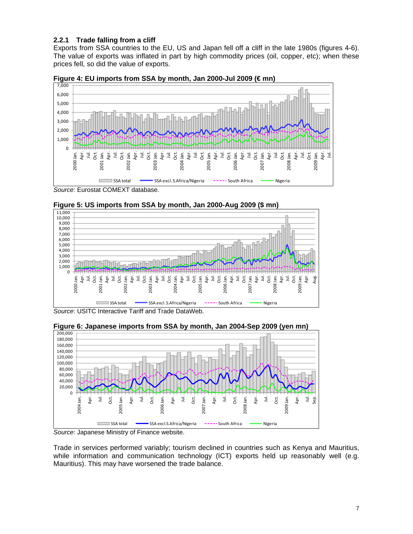## **2.2.1 Trade falling from a cliff**

Exports from SSA countries to the EU, US and Japan fell off a cliff in the late 1980s (figures 4-6). The value of exports was inflated in part by high commodity prices (oil, copper, etc); when these prices fell, so did the value of exports.





*Source*: Eurostat COMEXT database.





*Source*: USITC Interactive Tariff and Trade DataWeb.



**Figure 6: Japanese imports from SSA by month, Jan 2004-Sep 2009 (yen mn)** 

*Source*: Japanese Ministry of Finance website.

Trade in services performed variably; tourism declined in countries such as Kenya and Mauritius, while information and communication technology (ICT) exports held up reasonably well (e.g. Mauritius). This may have worsened the trade balance.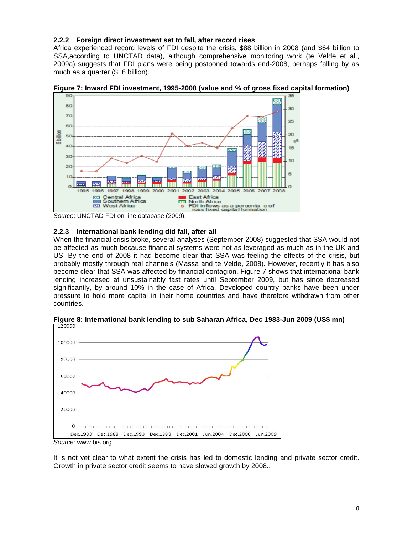## **2.2.2 Foreign direct investment set to fall, after record rises**

Africa experienced record levels of FDI despite the crisis, \$88 billion in 2008 (and \$64 billion to SSA,according to UNCTAD data), although comprehensive monitoring work (te Velde et al., 2009a) suggests that FDI plans were being postponed towards end-2008, perhaps falling by as much as a quarter (\$16 billion).





## **2.2.3 International bank lending did fall, after all**

When the financial crisis broke, several analyses (September 2008) suggested that SSA would not be affected as much because financial systems were not as leveraged as much as in the UK and US. By the end of 2008 it had become clear that SSA was feeling the effects of the crisis, but probably mostly through real channels (Massa and te Velde, 2008). However, recently it has also become clear that SSA was affected by financial contagion. Figure 7 shows that international bank lending increased at unsustainably fast rates until September 2009, but has since decreased significantly, by around 10% in the case of Africa. Developed country banks have been under pressure to hold more capital in their home countries and have therefore withdrawn from other countries.



**Figure 8: International bank lending to sub Saharan Africa, Dec 1983-Jun 2009 (US\$ mn)** 

It is not yet clear to what extent the crisis has led to domestic lending and private sector credit. Growth in private sector credit seems to have slowed growth by 2008..

*Source*: UNCTAD FDI on-line database (2009).

*Source*: www.bis.org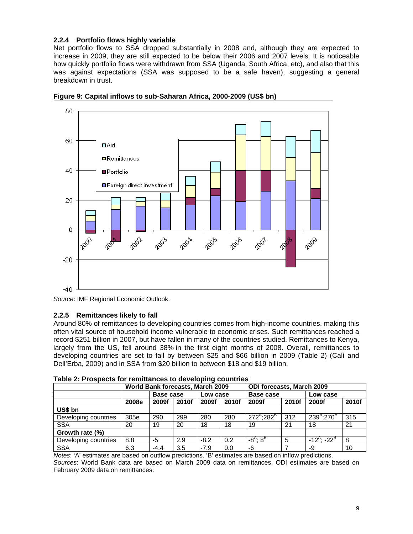## **2.2.4 Portfolio flows highly variable**

Net portfolio flows to SSA dropped substantially in 2008 and, although they are expected to increase in 2009, they are still expected to be below their 2006 and 2007 levels. It is noticeable how quickly portfolio flows were withdrawn from SSA (Uganda, South Africa, etc), and also that this was against expectations (SSA was supposed to be a safe haven), suggesting a general breakdown in trust.



**Figure 9: Capital inflows to sub-Saharan Africa, 2000-2009 (US\$ bn)** 

## **2.2.5 Remittances likely to fall**

Around 80% of remittances to developing countries comes from high-income countries, making this often vital source of household income vulnerable to economic crises. Such remittances reached a record \$251 billion in 2007, but have fallen in many of the countries studied. Remittances to Kenya, largely from the US, fell around 38% in the first eight months of 2008. Overall, remittances to developing countries are set to fall by between \$25 and \$66 billion in 2009 (Table 2) (Calì and Dell'Erba, 2009) and in SSA from \$20 billion to between \$18 and \$19 billion.

|                      | <b>World Bank forecasts, March 2009</b> |           |       |          |       | <b>ODI forecasts, March 2009</b> |       |                             |       |
|----------------------|-----------------------------------------|-----------|-------|----------|-------|----------------------------------|-------|-----------------------------|-------|
|                      |                                         | Base case |       | Low case |       | Base case                        |       |                             |       |
|                      | 2008e                                   | 2009f     | 2010f | 2009f    | 2010f | 2009f                            | 2010f | 2009f                       | 2010f |
| US\$ bn              |                                         |           |       |          |       |                                  |       |                             |       |
| Developing countries | 305e                                    | 290       | 299   | 280      | 280   | $272^{A}$ ;282 <sup>B</sup>      | 312   | $239^{A}$ :270 <sup>B</sup> | 315   |
| <b>SSA</b>           | 20                                      | 19        | 20    | 18       | 18    | 19                               | 21    | 18                          | 21    |
| Growth rate (%)      |                                         |           |       |          |       |                                  |       |                             |       |
| Developing countries | 8.8                                     | -5        | 2.9   | $-8.2$   | 0.2   | $-8^{A}$ ; $8^{B}$               | 5     | $-12^{A}$ : $-22^{B}$       | 8     |
| <b>SSA</b>           | 6.3                                     | $-4.4$    | 3.5   | $-7.9$   | 0.0   | -6                               |       | -9                          | 10    |

|  |  | Table 2: Prospects for remittances to developing countries |
|--|--|------------------------------------------------------------|
|--|--|------------------------------------------------------------|

*Notes*: 'A' estimates are based on outflow predictions. 'B' estimates are based on inflow predictions. *Sources*: World Bank data are based on March 2009 data on remittances. ODI estimates are based on February 2009 data on remittances.

*Source*: IMF Regional Economic Outlook.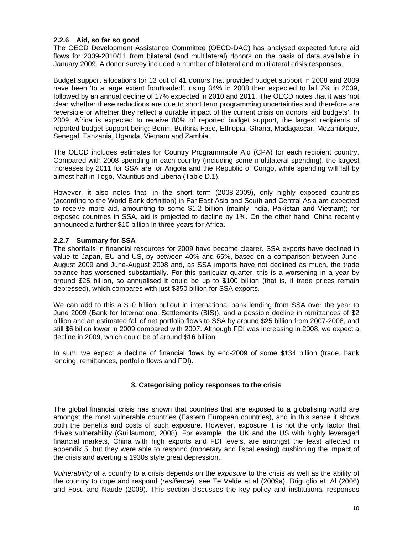## **2.2.6 Aid, so far so good**

The OECD Development Assistance Committee (OECD-DAC) has analysed expected future aid flows for 2009-2010/11 from bilateral (and multilateral) donors on the basis of data available in January 2009. A donor survey included a number of bilateral and multilateral crisis responses.

Budget support allocations for 13 out of 41 donors that provided budget support in 2008 and 2009 have been 'to a large extent frontloaded', rising 34% in 2008 then expected to fall 7% in 2009, followed by an annual decline of 17% expected in 2010 and 2011. The OECD notes that it was 'not clear whether these reductions are due to short term programming uncertainties and therefore are reversible or whether they reflect a durable impact of the current crisis on donors' aid budgets'. In 2009, Africa is expected to receive 80% of reported budget support, the largest recipients of reported budget support being: Benin, Burkina Faso, Ethiopia, Ghana, Madagascar, Mozambique, Senegal, Tanzania, Uganda, Vietnam and Zambia.

The OECD includes estimates for Country Programmable Aid (CPA) for each recipient country. Compared with 2008 spending in each country (including some multilateral spending), the largest increases by 2011 for SSA are for Angola and the Republic of Congo, while spending will fall by almost half in Togo, Mauritius and Liberia (Table D.1).

However, it also notes that, in the short term (2008-2009), only highly exposed countries (according to the World Bank definition) in Far East Asia and South and Central Asia are expected to receive more aid, amounting to some \$1.2 billion (mainly India, Pakistan and Vietnam); for exposed countries in SSA, aid is projected to decline by 1%. On the other hand, China recently announced a further \$10 billion in three years for Africa.

## **2.2.7 Summary for SSA**

The shortfalls in financial resources for 2009 have become clearer. SSA exports have declined in value to Japan, EU and US, by between 40% and 65%, based on a comparison between June-August 2009 and June-August 2008 and, as SSA imports have not declined as much, the trade balance has worsened substantially. For this particular quarter, this is a worsening in a year by around \$25 billion, so annualised it could be up to \$100 billion (that is, if trade prices remain depressed), which compares with just \$350 billion for SSA exports.

We can add to this a \$10 billion pullout in international bank lending from SSA over the year to June 2009 (Bank for International Settlements (BIS)), and a possible decline in remittances of \$2 billion and an estimated fall of net portfolio flows to SSA by around \$25 billion from 2007-2008, and still \$6 billon lower in 2009 compared with 2007. Although FDI was increasing in 2008, we expect a decline in 2009, which could be of around \$16 billion.

In sum, we expect a decline of financial flows by end-2009 of some \$134 billion (trade, bank lending, remittances, portfolio flows and FDI).

## **3. Categorising policy responses to the crisis**

The global financial crisis has shown that countries that are exposed to a globalising world are amongst the most vulnerable countries (Eastern European countries), and in this sense it shows both the benefits and costs of such exposure. However, exposure it is not the only factor that drives vulnerability (Guillaumont, 2008). For example, the UK and the US with highly leveraged financial markets, China with high exports and FDI levels, are amongst the least affected in appendix 5, but they were able to respond (monetary and fiscal easing) cushioning the impact of the crisis and averting a 1930s style great depression..

*Vulnerability* of a country to a crisis depends on the *exposure* to the crisis as well as the ability of the country to cope and respond (*resilience*), see Te Velde et al (2009a), Briguglio et. Al (2006) and Fosu and Naude (2009). This section discusses the key policy and institutional responses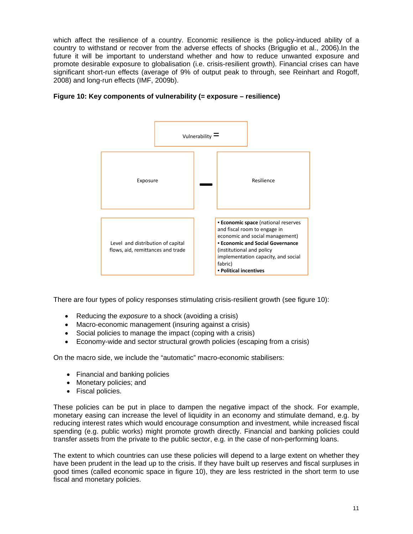which affect the resilience of a country. Economic resilience is the policy-induced ability of a country to withstand or recover from the adverse effects of shocks (Briguglio et al., 2006).In the future it will be important to understand whether and how to reduce unwanted exposure and promote desirable exposure to globalisation (i.e. crisis-resilient growth). Financial crises can have significant short-run effects (average of 9% of output peak to through, see Reinhart and Rogoff, 2008) and long-run effects (IMF, 2009b).



## **Figure 10: Key components of vulnerability (= exposure – resilience)**

There are four types of policy responses stimulating crisis-resilient growth (see figure 10):

- Reducing the *exposure* to a shock (avoiding a crisis)
- Macro-economic management (insuring against a crisis)
- Social policies to manage the impact (coping with a crisis)
- Economy-wide and sector structural growth policies (escaping from a crisis)

On the macro side, we include the "automatic" macro-economic stabilisers:

- Financial and banking policies
- Monetary policies; and
- Fiscal policies.

These policies can be put in place to dampen the negative impact of the shock. For example, monetary easing can increase the level of liquidity in an economy and stimulate demand, e.g. by reducing interest rates which would encourage consumption and investment, while increased fiscal spending (e.g. public works) might promote growth directly. Financial and banking policies could transfer assets from the private to the public sector, e.g. in the case of non-performing loans.

The extent to which countries can use these policies will depend to a large extent on whether they have been prudent in the lead up to the crisis. If they have built up reserves and fiscal surpluses in good times (called economic space in figure 10), they are less restricted in the short term to use fiscal and monetary policies.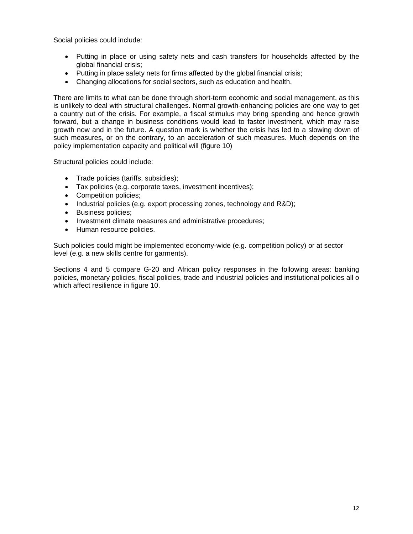Social policies could include:

- Putting in place or using safety nets and cash transfers for households affected by the global financial crisis;
- Putting in place safety nets for firms affected by the global financial crisis;
- Changing allocations for social sectors, such as education and health.

There are limits to what can be done through short-term economic and social management, as this is unlikely to deal with structural challenges. Normal growth-enhancing policies are one way to get a country out of the crisis. For example, a fiscal stimulus may bring spending and hence growth forward, but a change in business conditions would lead to faster investment, which may raise growth now and in the future. A question mark is whether the crisis has led to a slowing down of such measures, or on the contrary, to an acceleration of such measures. Much depends on the policy implementation capacity and political will (figure 10)

Structural policies could include:

- Trade policies (tariffs, subsidies);
- Tax policies (e.g. corporate taxes, investment incentives);
- Competition policies;
- Industrial policies (e.g. export processing zones, technology and R&D);
- Business policies;
- Investment climate measures and administrative procedures;
- Human resource policies.

Such policies could might be implemented economy-wide (e.g. competition policy) or at sector level (e.g. a new skills centre for garments).

Sections 4 and 5 compare G-20 and African policy responses in the following areas: banking policies, monetary policies, fiscal policies, trade and industrial policies and institutional policies all o which affect resilience in figure 10.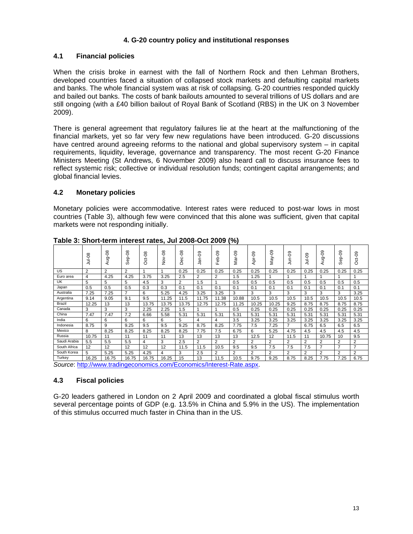## **4. G-20 country policy and institutional responses**

## **4.1 Financial policies**

When the crisis broke in earnest with the fall of Northern Rock and then Lehman Brothers, developed countries faced a situation of collapsed stock markets and defaulting capital markets and banks. The whole financial system was at risk of collapsing. G-20 countries responded quickly and bailed out banks. The costs of bank bailouts amounted to several trillions of US dollars and are still ongoing (with a £40 billion bailout of Royal Bank of Scotland (RBS) in the UK on 3 November 2009).

There is general agreement that regulatory failures lie at the heart at the malfunctioning of the financial markets, yet so far very few new regulations have been introduced. G-20 discussions have centred around agreeing reforms to the national and global supervisory system – in capital requirements, liquidity, leverage, governance and transparency. The most recent G-20 Finance Ministers Meeting (St Andrews, 6 November 2009) also heard call to discuss insurance fees to reflect systemic risk; collective or individual resolution funds; contingent capital arrangements; and global financial levies.

## **4.2 Monetary policies**

Monetary policies were accommodative. Interest rates were reduced to post-war lows in most countries (Table 3), although few were convinced that this alone was sufficient, given that capital markets were not responding initially.

|              | Jul-08 | $0-6n$<br>⋖    | $-08$<br>န္<br>Ō | $Oct-08$ | Nov-08 | <b>Dec-08</b> | $Jan-09$ | $eb-09$<br>ш.  | ęo.<br>vari<br>⊠ | Apr-09         | ęo<br>Vay.     | Jun-09         | Jul-09         | ခု<br>Aug-     | $Sep-09$       | $Oct-09$       |
|--------------|--------|----------------|------------------|----------|--------|---------------|----------|----------------|------------------|----------------|----------------|----------------|----------------|----------------|----------------|----------------|
| US           | 2      | $\overline{2}$ | 2                |          |        | 0.25          | 0.25     | 0.25           | 0.25             | 0.25           | 0.25           | 0.25           | 0.25           | 0.25           | 0.25           | 0.25           |
| Euro area    | 4      | 4.25           | 4.25             | 3.75     | 3.25   | 2.5           | 2        | $\overline{2}$ | 1.5              | 1.25           |                |                |                |                |                |                |
| UK           | 5      | 5              | 5                | 4.5      | 3      | 2             | 1.5      |                | 0.5              | 0.5            | 0.5            | 0.5            | 0.5            | 0.5            | 0.5            | 0.5            |
| Japan        | 0.5    | 0.5            | 0.5              | 0.3      | 0.3    | 0.1           | 0.1      | 0.1            | 0.1              | 0.1            | 0.1            | 0.1            | 0.1            | 0.1            | 0.1            | 0.1            |
| Australia    | 7.25   | 7.25           | 7                | 6        | 5.25   | 4.25          | 3.25     | 3.25           | 3                | 3              | 3              | 3              | 3              | 3              | 3              | 3.25           |
| Argentina    | 9.14   | 9.05           | 9.1              | 9.5      | 11.25  | 11.5          | 11.75    | 11.38          | 10.88            | 10.5           | 10.5           | 10.5           | 10.5           | 10.5           | 10.5           | 10.5           |
| Brazil       | 12.25  | 13             | 13               | 13.75    | 13.75  | 13.75         | 12.75    | 12.75          | 11.25            | 10.25          | 10.25          | 9.25           | 8.75           | 8.75           | 8.75           | 8.75           |
| Canada       | 3      | 3              | 3                | 2.25     | 2.25   | 1.5           |          |                | 0.5              | 0.25           | 0.25           | 0.25           | 0.25           | 0.25           | 0.25           | 0.25           |
| China        | 7.47   | 7.47           | 7.2              | 6.66     | 5.58   | 5.31          | 5.31     | 5.31           | 5.31             | 5.31           | 5.31           | 5.31           | 5.31           | 5.31           | 5.31           | 5.31           |
| India        | 6      | 6              | 6                | 6        | 6      | 5             | 4        | 4              | 3.5              | 3.25           | 3.25           | 3.25           | 3.25           | 3.25           | 3.25           | 3.25           |
| Indonesia    | 8.75   | 9              | 9.25             | 9.5      | 9.5    | 9.25          | 8.75     | 8.25           | 7.75             | 7.5            | 7.25           | 7              | 6.75           | 6.5            | 6.5            | 6.5            |
| Mexico       | 8      | 8.25           | 8.25             | 8.25     | 8.25   | 8.25          | 7.75     | 7.5            | 6.75             | 6              | 5.25           | 4.75           | 4.5            | 4.5            | 4.5            | 4.5            |
| Russia       | 10.75  | 11             | 11               | 11       | 11     | 13            | 13       | 13             | 13               | 12.5           | 12             | 11.5           | 11             | 10.75          | 10             | 9.5            |
| Saudi Arabia | 5.5    | 5.5            | 5.5              | 4        | 3      | 2.5           | 2        | $\overline{2}$ | $\overline{2}$   | $\overline{2}$ | $\overline{2}$ | $\overline{2}$ | 2              | $\overline{2}$ | $\overline{2}$ | $\overline{2}$ |
| South Africa | 12     | 12             | 12               | 12       | 12     | 11.5          | 11.5     | 10.5           | 9.5              | 9.5            | 7.5            | 7.5            | 7.5            | $\overline{7}$ |                | $\overline{7}$ |
| South Korea  | 5      | 5.25           | 5.25             | 4.25     | 4      | 3             | 2.5      | $\overline{2}$ | 2                | 2              | 2              | $\overline{2}$ | $\overline{2}$ | $\overline{2}$ | $\overline{2}$ | $\overline{2}$ |
| Turkey       | 16.25  | 16.75          | 16.75            | 16.75    | 16.25  | 15            | 13       | 11.5           | 10.5             | 9.75           | 9.25           | 8.75           | 8.25           | 7.75           | 7.25           | 6.75           |

**Table 3: Short-term interest rates, Jul 2008-Oct 2009 (%)** 

*Source*: http://www.tradingeconomics.com/Economics/Interest-Rate.aspx.

## **4.3 Fiscal policies**

G-20 leaders gathered in London on 2 April 2009 and coordinated a global fiscal stimulus worth several percentage points of GDP (e.g. 13.5% in China and 5.9% in the US). The implementation of this stimulus occurred much faster in China than in the US.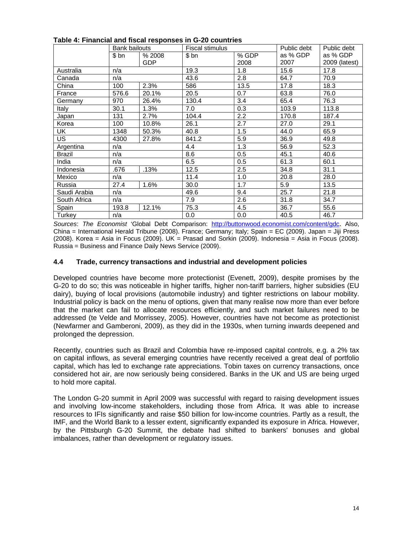|               | <b>Bank bailouts</b> |        | <b>Fiscal stimulus</b> |       | Public debt | Public debt   |
|---------------|----------------------|--------|------------------------|-------|-------------|---------------|
|               | \$ bn                | % 2008 | \$bn                   | % GDP | as % GDP    | as % GDP      |
|               |                      | GDP    |                        | 2008  | 2007        | 2009 (latest) |
| Australia     | n/a                  |        | 19.3                   | 1.8   | 15.6        | 17.8          |
| Canada        | n/a                  |        | 43.6                   | 2.8   | 64.7        | 70.9          |
| China         | 100                  | 2.3%   | 586                    | 13.5  | 17.8        | 18.3          |
| France        | 576.6                | 20.1%  | 20.5                   | 0.7   | 63.8        | 76.0          |
| Germany       | 970                  | 26.4%  | 130.4                  | 3.4   | 65.4        | 76.3          |
| Italy         | 30.1                 | 1.3%   | 7.0                    | 0.3   | 103.9       | 113.8         |
| Japan         | 131                  | 2.7%   | 104.4                  | 2.2   | 170.8       | 187.4         |
| Korea         | 100                  | 10.8%  | 26.1                   | 2.7   | 27.0        | 29.1          |
| UK.           | 1348                 | 50.3%  | 40.8                   | 1.5   | 44.0        | 65.9          |
| <b>US</b>     | 4300                 | 27.8%  | 841.2                  | 5.9   | 36.9        | 49.8          |
| Argentina     | n/a                  |        | 4.4                    | 1.3   | 56.9        | 52.3          |
| <b>Brazil</b> | n/a                  |        | 8.6                    | 0.5   | 45.1        | 40.6          |
| India         | n/a                  |        | 6.5                    | 0.5   | 61.3        | 60.1          |
| Indonesia     | .676                 | .13%   | 12.5                   | 2.5   | 34.8        | 31.1          |
| Mexico        | n/a                  |        | 11.4                   | 1.0   | 20.8        | 28.0          |
| Russia        | 27.4                 | 1.6%   | 30.0                   | 1.7   | 5.9         | 13.5          |
| Saudi Arabia  | n/a                  |        | 49.6                   | 9.4   | 25.7        | 21.8          |
| South Africa  | n/a                  |        | 7.9                    | 2.6   | 31.8        | 34.7          |
| Spain         | 193.8                | 12.1%  | 75.3                   | 4.5   | 36.7        | 55.6          |
| Turkey        | n/a                  |        | 0.0                    | 0.0   | 40.5        | 46.7          |

## **Table 4: Financial and fiscal responses in G-20 countries**

*Sources*: *The Economist* 'Global Debt Comparison: http://buttonwood.economist.com/content/gdc. Also, China = International Herald Tribune (2008). France; Germany; Italy; Spain = EC (2009). Japan = Jiji Press (2008). Korea = Asia in Focus (2009). UK = Prasad and Sorkin (2009). Indonesia = Asia in Focus (2008). Russia = Business and Finance Daily News Service (2009).

## **4.4 Trade, currency transactions and industrial and development policies**

Developed countries have become more protectionist (Evenett, 2009), despite promises by the G-20 to do so; this was noticeable in higher tariffs, higher non-tariff barriers, higher subsidies (EU dairy), buying of local provisions (automobile industry) and tighter restrictions on labour mobility. Industrial policy is back on the menu of options, given that many realise now more than ever before that the market can fail to allocate resources efficiently, and such market failures need to be addressed (te Velde and Morrissey, 2005). However, countries have not become as protectionist (Newfarmer and Gamberoni, 2009), as they did in the 1930s, when turning inwards deepened and prolonged the depression.

Recently, countries such as Brazil and Colombia have re-imposed capital controls, e.g. a 2% tax on capital inflows, as several emerging countries have recently received a great deal of portfolio capital, which has led to exchange rate appreciations. Tobin taxes on currency transactions, once considered hot air, are now seriously being considered. Banks in the UK and US are being urged to hold more capital.

The London G-20 summit in April 2009 was successful with regard to raising development issues and involving low-income stakeholders, including those from Africa. It was able to increase resources to IFIs significantly and raise \$50 billion for low-income countries. Partly as a result, the IMF, and the World Bank to a lesser extent, significantly expanded its exposure in Africa. However, by the Pittsburgh G-20 Summit, the debate had shifted to bankers' bonuses and global imbalances, rather than development or regulatory issues.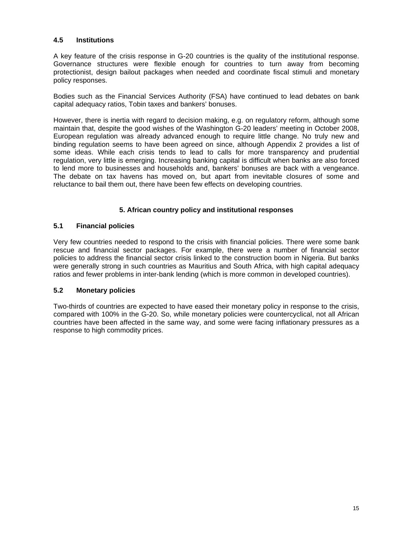## **4.5 Institutions**

A key feature of the crisis response in G-20 countries is the quality of the institutional response. Governance structures were flexible enough for countries to turn away from becoming protectionist, design bailout packages when needed and coordinate fiscal stimuli and monetary policy responses.

Bodies such as the Financial Services Authority (FSA) have continued to lead debates on bank capital adequacy ratios, Tobin taxes and bankers' bonuses.

However, there is inertia with regard to decision making, e.g. on regulatory reform, although some maintain that, despite the good wishes of the Washington G-20 leaders' meeting in October 2008, European regulation was already advanced enough to require little change. No truly new and binding regulation seems to have been agreed on since, although Appendix 2 provides a list of some ideas. While each crisis tends to lead to calls for more transparency and prudential regulation, very little is emerging. Increasing banking capital is difficult when banks are also forced to lend more to businesses and households and, bankers' bonuses are back with a vengeance. The debate on tax havens has moved on, but apart from inevitable closures of some and reluctance to bail them out, there have been few effects on developing countries.

## **5. African country policy and institutional responses**

## **5.1 Financial policies**

Very few countries needed to respond to the crisis with financial policies. There were some bank rescue and financial sector packages. For example, there were a number of financial sector policies to address the financial sector crisis linked to the construction boom in Nigeria. But banks were generally strong in such countries as Mauritius and South Africa, with high capital adequacy ratios and fewer problems in inter-bank lending (which is more common in developed countries).

## **5.2 Monetary policies**

Two-thirds of countries are expected to have eased their monetary policy in response to the crisis, compared with 100% in the G-20. So, while monetary policies were countercyclical, not all African countries have been affected in the same way, and some were facing inflationary pressures as a response to high commodity prices.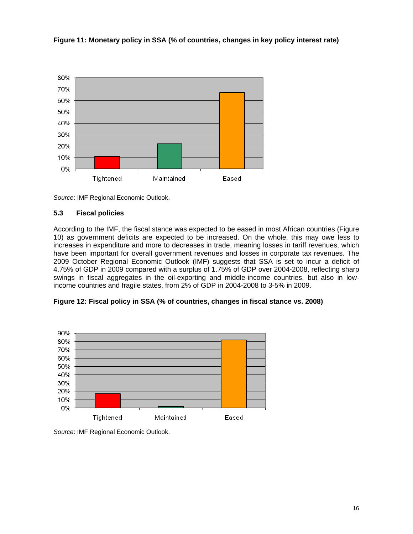



*Source*: IMF Regional Economic Outlook.

## **5.3 Fiscal policies**

According to the IMF, the fiscal stance was expected to be eased in most African countries (Figure 10) as government deficits are expected to be increased. On the whole, this may owe less to increases in expenditure and more to decreases in trade, meaning losses in tariff revenues, which have been important for overall government revenues and losses in corporate tax revenues. The 2009 October Regional Economic Outlook (IMF) suggests that SSA is set to incur a deficit of 4.75% of GDP in 2009 compared with a surplus of 1.75% of GDP over 2004-2008, reflecting sharp swings in fiscal aggregates in the oil-exporting and middle-income countries, but also in lowincome countries and fragile states, from 2% of GDP in 2004-2008 to 3-5% in 2009.



**Figure 12: Fiscal policy in SSA (% of countries, changes in fiscal stance vs. 2008)** 

*Source*: IMF Regional Economic Outlook.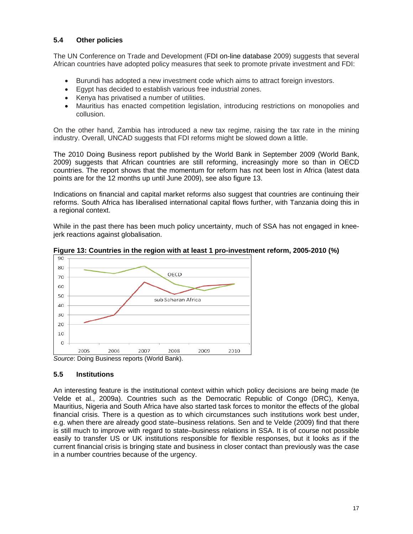## **5.4 Other policies**

The UN Conference on Trade and Development (FDI on-line database 2009) suggests that several African countries have adopted policy measures that seek to promote private investment and FDI:

- Burundi has adopted a new investment code which aims to attract foreign investors.
- Egypt has decided to establish various free industrial zones.
- Kenya has privatised a number of utilities.
- Mauritius has enacted competition legislation, introducing restrictions on monopolies and collusion.

On the other hand, Zambia has introduced a new tax regime, raising the tax rate in the mining industry. Overall, UNCAD suggests that FDI reforms might be slowed down a little.

The 2010 Doing Business report published by the World Bank in September 2009 (World Bank, 2009) suggests that African countries are still reforming, increasingly more so than in OECD countries. The report shows that the momentum for reform has not been lost in Africa (latest data points are for the 12 months up until June 2009), see also figure 13.

Indications on financial and capital market reforms also suggest that countries are continuing their reforms. South Africa has liberalised international capital flows further, with Tanzania doing this in a regional context.

While in the past there has been much policy uncertainty, much of SSA has not engaged in kneejerk reactions against globalisation.



**Figure 13: Countries in the region with at least 1 pro-investment reform, 2005-2010 (%)** 

## **5.5 Institutions**

An interesting feature is the institutional context within which policy decisions are being made (te Velde et al., 2009a). Countries such as the Democratic Republic of Congo (DRC), Kenya, Mauritius, Nigeria and South Africa have also started task forces to monitor the effects of the global financial crisis. There is a question as to which circumstances such institutions work best under, e.g. when there are already good state–business relations. Sen and te Velde (2009) find that there is still much to improve with regard to state–business relations in SSA. It is of course not possible easily to transfer US or UK institutions responsible for flexible responses, but it looks as if the current financial crisis is bringing state and business in closer contact than previously was the case in a number countries because of the urgency.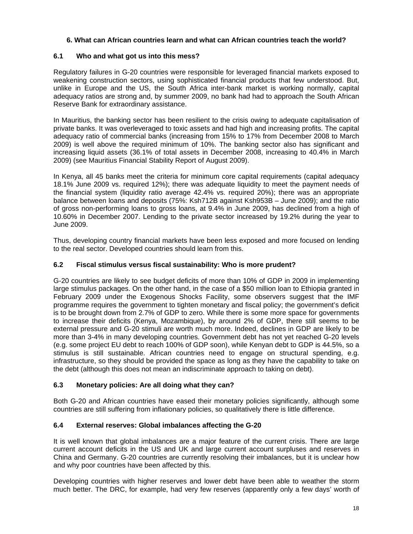## **6. What can African countries learn and what can African countries teach the world?**

## **6.1 Who and what got us into this mess?**

Regulatory failures in G-20 countries were responsible for leveraged financial markets exposed to weakening construction sectors, using sophisticated financial products that few understood. But, unlike in Europe and the US, the South Africa inter-bank market is working normally, capital adequacy ratios are strong and, by summer 2009, no bank had had to approach the South African Reserve Bank for extraordinary assistance.

In Mauritius, the banking sector has been resilient to the crisis owing to adequate capitalisation of private banks. It was overleveraged to toxic assets and had high and increasing profits. The capital adequacy ratio of commercial banks (increasing from 15% to 17% from December 2008 to March 2009) is well above the required minimum of 10%. The banking sector also has significant and increasing liquid assets (36.1% of total assets in December 2008, increasing to 40.4% in March 2009) (see Mauritius Financial Stability Report of August 2009).

In Kenya, all 45 banks meet the criteria for minimum core capital requirements (capital adequacy 18.1% June 2009 vs. required 12%); there was adequate liquidity to meet the payment needs of the financial system (liquidity ratio average 42.4% vs. required 20%); there was an appropriate balance between loans and deposits (75%: Ksh712B against Ksh953B – June 2009); and the ratio of gross non-performing loans to gross loans, at 9.4% in June 2009, has declined from a high of 10.60% in December 2007. Lending to the private sector increased by 19.2% during the year to June 2009.

Thus, developing country financial markets have been less exposed and more focused on lending to the real sector. Developed countries should learn from this.

## **6.2 Fiscal stimulus versus fiscal sustainability: Who is more prudent?**

G-20 countries are likely to see budget deficits of more than 10% of GDP in 2009 in implementing large stimulus packages. On the other hand, in the case of a \$50 million loan to Ethiopia granted in February 2009 under the Exogenous Shocks Facility, some observers suggest that the IMF programme requires the government to tighten monetary and fiscal policy; the government's deficit is to be brought down from 2.7% of GDP to zero. While there is some more space for governments to increase their deficits (Kenya, Mozambique), by around 2% of GDP, there still seems to be external pressure and G-20 stimuli are worth much more. Indeed, declines in GDP are likely to be more than 3-4% in many developing countries. Government debt has not yet reached G-20 levels (e.g. some project EU debt to reach 100% of GDP soon), while Kenyan debt to GDP is 44.5%, so a stimulus is still sustainable. African countries need to engage on structural spending, e.g. infrastructure, so they should be provided the space as long as they have the capability to take on the debt (although this does not mean an indiscriminate approach to taking on debt).

## **6.3 Monetary policies: Are all doing what they can?**

Both G-20 and African countries have eased their monetary policies significantly, although some countries are still suffering from inflationary policies, so qualitatively there is little difference.

## **6.4 External reserves: Global imbalances affecting the G-20**

It is well known that global imbalances are a major feature of the current crisis. There are large current account deficits in the US and UK and large current account surpluses and reserves in China and Germany. G-20 countries are currently resolving their imbalances, but it is unclear how and why poor countries have been affected by this.

Developing countries with higher reserves and lower debt have been able to weather the storm much better. The DRC, for example, had very few reserves (apparently only a few days' worth of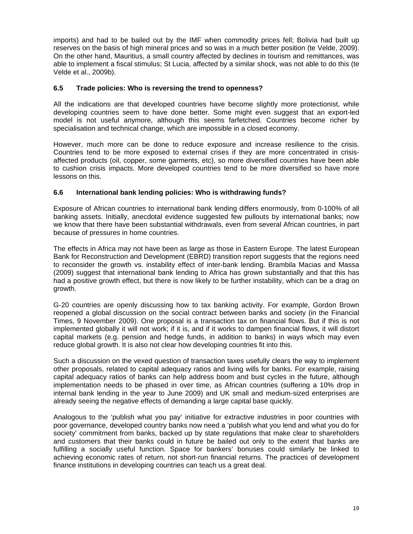imports) and had to be bailed out by the IMF when commodity prices fell; Bolivia had built up reserves on the basis of high mineral prices and so was in a much better position (te Velde, 2009). On the other hand, Mauritius, a small country affected by declines in tourism and remittances, was able to implement a fiscal stimulus; St Lucia, affected by a similar shock, was not able to do this (te Velde et al., 2009b).

## **6.5 Trade policies: Who is reversing the trend to openness?**

All the indications are that developed countries have become slightly more protectionist, while developing countries seem to have done better. Some might even suggest that an export-led model is not useful anymore, although this seems farfetched. Countries become richer by specialisation and technical change, which are impossible in a closed economy.

However, much more can be done to reduce exposure and increase resilience to the crisis. Countries tend to be more exposed to external crises if they are more concentrated in crisisaffected products (oil, copper, some garments, etc), so more diversified countries have been able to cushion crisis impacts. More developed countries tend to be more diversified so have more lessons on this.

## **6.6 International bank lending policies: Who is withdrawing funds?**

Exposure of African countries to international bank lending differs enormously, from 0-100% of all banking assets. Initially, anecdotal evidence suggested few pullouts by international banks; now we know that there have been substantial withdrawals, even from several African countries, in part because of pressures in home countries.

The effects in Africa may not have been as large as those in Eastern Europe. The latest European Bank for Reconstruction and Development (EBRD) transition report suggests that the regions need to reconsider the growth vs. instability effect of inter-bank lending. Brambila Macias and Massa (2009) suggest that international bank lending to Africa has grown substantially and that this has had a positive growth effect, but there is now likely to be further instability, which can be a drag on growth.

G-20 countries are openly discussing how to tax banking activity. For example, Gordon Brown reopened a global discussion on the social contract between banks and society (in the Financial Times, 9 November 2009). One proposal is a transaction tax on financial flows. But if this is not implemented globally it will not work; if it is, and if it works to dampen financial flows, it will distort capital markets (e.g. pension and hedge funds, in addition to banks) in ways which may even reduce global growth. It is also not clear how developing countries fit into this.

Such a discussion on the vexed question of transaction taxes usefully clears the way to implement other proposals, related to capital adequacy ratios and living wills for banks. For example, raising capital adequacy ratios of banks can help address boom and bust cycles in the future, although implementation needs to be phased in over time, as African countries (suffering a 10% drop in internal bank lending in the year to June 2009) and UK small and medium-sized enterprises are already seeing the negative effects of demanding a large capital base quickly.

Analogous to the 'publish what you pay' initiative for extractive industries in poor countries with poor governance, developed country banks now need a 'publish what you lend and what you do for society' commitment from banks, backed up by state regulations that make clear to shareholders and customers that their banks could in future be bailed out only to the extent that banks are fulfilling a socially useful function. Space for bankers' bonuses could similarly be linked to achieving economic rates of return, not short-run financial returns. The practices of development finance institutions in developing countries can teach us a great deal.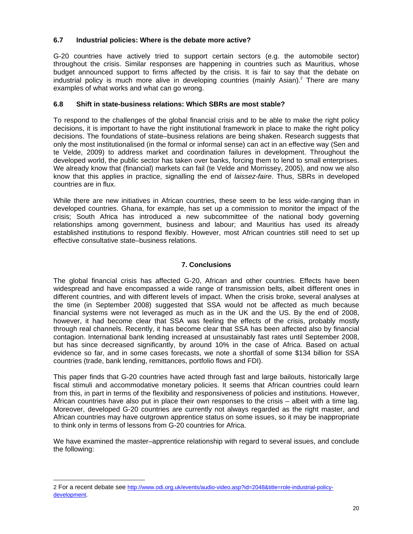## **6.7 Industrial policies: Where is the debate more active?**

G-20 countries have actively tried to support certain sectors (e.g. the automobile sector) throughout the crisis. Similar responses are happening in countries such as Mauritius, whose budget announced support to firms affected by the crisis. It is fair to say that the debate on industrial policy is much more alive in developing countries (mainly Asian).<sup>2</sup> There are many examples of what works and what can go wrong.

## **6.8 Shift in state-business relations: Which SBRs are most stable?**

To respond to the challenges of the global financial crisis and to be able to make the right policy decisions, it is important to have the right institutional framework in place to make the right policy decisions. The foundations of state–business relations are being shaken. Research suggests that only the most institutionalised (in the formal or informal sense) can act in an effective way (Sen and te Velde, 2009) to address market and coordination failures in development. Throughout the developed world, the public sector has taken over banks, forcing them to lend to small enterprises. We already know that (financial) markets can fail (te Velde and Morrissey, 2005), and now we also know that this applies in practice, signalling the end of *laissez-faire*. Thus, SBRs in developed countries are in flux.

While there are new initiatives in African countries, these seem to be less wide-ranging than in developed countries. Ghana, for example, has set up a commission to monitor the impact of the crisis; South Africa has introduced a new subcommittee of the national body governing relationships among government, business and labour; and Mauritius has used its already established institutions to respond flexibly. However, most African countries still need to set up effective consultative state–business relations.

## **7. Conclusions**

The global financial crisis has affected G-20, African and other countries. Effects have been widespread and have encompassed a wide range of transmission belts, albeit different ones in different countries, and with different levels of impact. When the crisis broke, several analyses at the time (in September 2008) suggested that SSA would not be affected as much because financial systems were not leveraged as much as in the UK and the US. By the end of 2008, however, it had become clear that SSA was feeling the effects of the crisis, probably mostly through real channels. Recently, it has become clear that SSA has been affected also by financial contagion. International bank lending increased at unsustainably fast rates until September 2008, but has since decreased significantly, by around 10% in the case of Africa. Based on actual evidence so far, and in some cases forecasts, we note a shortfall of some \$134 billion for SSA countries (trade, bank lending, remittances, portfolio flows and FDI).

This paper finds that G-20 countries have acted through fast and large bailouts, historically large fiscal stimuli and accommodative monetary policies. It seems that African countries could learn from this, in part in terms of the flexibility and responsiveness of policies and institutions. However, African countries have also put in place their own responses to the crisis – albeit with a time lag. Moreover, developed G-20 countries are currently not always regarded as the right master, and African countries may have outgrown apprentice status on some issues, so it may be inappropriate to think only in terms of lessons from G-20 countries for Africa.

We have examined the master–apprentice relationship with regard to several issues, and conclude the following:

 $\overline{a}$ 

<sup>2</sup> For a recent debate see http://www.odi.org.uk/events/audio-video.asp?id=2048&title=role-industrial-policydevelopment.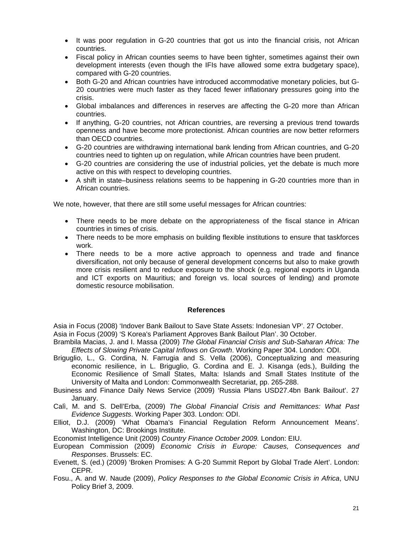- It was poor regulation in G-20 countries that got us into the financial crisis, not African countries.
- Fiscal policy in African counties seems to have been tighter, sometimes against their own development interests (even though the IFIs have allowed some extra budgetary space), compared with G-20 countries.
- Both G-20 and African countries have introduced accommodative monetary policies, but G-20 countries were much faster as they faced fewer inflationary pressures going into the crisis.
- Global imbalances and differences in reserves are affecting the G-20 more than African countries.
- If anything, G-20 countries, not African countries, are reversing a previous trend towards openness and have become more protectionist. African countries are now better reformers than OECD countries.
- G-20 countries are withdrawing international bank lending from African countries, and G-20 countries need to tighten up on regulation, while African countries have been prudent.
- G-20 countries are considering the use of industrial policies, yet the debate is much more active on this with respect to developing countries.
- A shift in state–business relations seems to be happening in G-20 countries more than in African countries.

We note, however, that there are still some useful messages for African countries:

- There needs to be more debate on the appropriateness of the fiscal stance in African countries in times of crisis.
- There needs to be more emphasis on building flexible institutions to ensure that taskforces work.
- There needs to be a more active approach to openness and trade and finance diversification, not only because of general development concerns but also to make growth more crisis resilient and to reduce exposure to the shock (e.g. regional exports in Uganda and ICT exports on Mauritius; and foreign vs. local sources of lending) and promote domestic resource mobilisation.

#### **References**

Asia in Focus (2008) 'Indover Bank Bailout to Save State Assets: Indonesian VP'. 27 October. Asia in Focus (2009) 'S Korea's Parliament Approves Bank Bailout Plan'. 30 October.

- Brambila Macias, J. and I. Massa (2009) *The Global Financial Crisis and Sub-Saharan Africa: The Effects of Slowing Private Capital Inflows on Growth*. Working Paper 304. London: ODI.
- Briguglio, L., G. Cordina, N. Farrugia and S. Vella (2006), Conceptualizing and measuring economic resilience, in L. Briguglio, G. Cordina and E. J. Kisanga (eds.), Building the Economic Resilience of Small States, Malta: Islands and Small States Institute of the University of Malta and London: Commonwealth Secretariat, pp. 265-288.
- Business and Finance Daily News Service (2009) 'Russia Plans USD27.4bn Bank Bailout'. 27 January.
- Calì, M. and S. Dell'Erba, (2009) *The Global Financial Crisis and Remittances: What Past Evidence Suggests*. Working Paper 303. London: ODI.
- Elliot, D.J. (2009) 'What Obama's Financial Regulation Reform Announcement Means'. Washington, DC: Brookings Institute.
- Economist Intelligence Unit (2009) *Country Finance October 2009.* London: EIU.
- European Commission (2009) *Economic Crisis in Europe: Causes, Consequences and Responses*. Brussels: EC.
- Evenett, S. (ed.) (2009) 'Broken Promises: A G-20 Summit Report by Global Trade Alert'. London: CEPR.
- Fosu., A. and W. Naude (2009), *Policy Responses to the Global Economic Crisis in Africa*, UNU Policy Brief 3, 2009.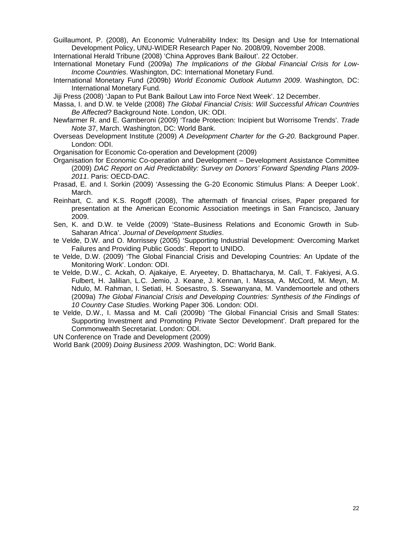Guillaumont, P. (2008), An Economic Vulnerability Index: Its Design and Use for International Development Policy, UNU-WIDER Research Paper No. 2008/09, November 2008.

International Herald Tribune (2008) 'China Approves Bank Bailout'. 22 October.

- International Monetary Fund (2009a) *The Implications of the Global Financial Crisis for Low-Income Countries*. Washington, DC: International Monetary Fund.
- International Monetary Fund (2009b) *World Economic Outlook Autumn 2009*. Washington, DC: International Monetary Fund.
- Jiji Press (2008) 'Japan to Put Bank Bailout Law into Force Next Week'. 12 December.
- Massa, I. and D.W. te Velde (2008) *The Global Financial Crisis: Will Successful African Countries Be Affected?* Background Note. London, UK: ODI.
- Newfarmer R. and E. Gamberoni (2009) 'Trade Protection: Incipient but Worrisome Trends'. *Trade Note* 37, March. Washington, DC: World Bank.
- Overseas Development Institute (2009) *A Development Charter for the G-20.* Background Paper. London: ODI.
- Organisation for Economic Co-operation and Development (2009)
- Organisation for Economic Co-operation and Development Development Assistance Committee (2009) *DAC Report on Aid Predictability: Survey on Donors' Forward Spending Plans 2009- 2011*. Paris: OECD-DAC.
- Prasad, E. and I. Sorkin (2009) 'Assessing the G-20 Economic Stimulus Plans: A Deeper Look'. March.
- Reinhart, C. and K.S. Rogoff (2008), The aftermath of financial crises, Paper prepared for presentation at the American Economic Association meetings in San Francisco, January 2009.
- Sen, K. and D.W. te Velde (2009) 'State–Business Relations and Economic Growth in Sub-Saharan Africa'. *Journal of Development Studies*.
- te Velde, D.W. and O. Morrissey (2005) 'Supporting Industrial Development: Overcoming Market Failures and Providing Public Goods'. Report to UNIDO.
- te Velde, D.W. (2009) 'The Global Financial Crisis and Developing Countries: An Update of the Monitoring Work'. London: ODI.
- te Velde, D.W., C. Ackah, O. Ajakaiye, E. Aryeetey, D. Bhattacharya, M. Calì, T. Fakiyesi, A.G. Fulbert, H. Jalilian, L.C. Jemio, J. Keane, J. Kennan, I. Massa, A. McCord, M. Meyn, M. Ndulo, M. Rahman, I. Setiati, H. Soesastro, S. Ssewanyana, M. Vandemoortele and others (2009a) *The Global Financial Crisis and Developing Countries: Synthesis of the Findings of 10 Country Case Studies*. Working Paper 306. London: ODI.
- te Velde, D.W., I. Massa and M. Calì (2009b) 'The Global Financial Crisis and Small States: Supporting Investment and Promoting Private Sector Development'. Draft prepared for the Commonwealth Secretariat. London: ODI.

UN Conference on Trade and Development (2009)

World Bank (2009) *Doing Business 2009.* Washington, DC: World Bank.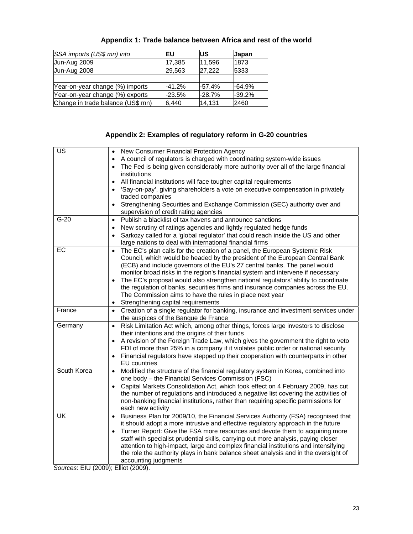| SSA imports (US\$ mn) into        | EU       | <b>IUS</b> | <b>Japan</b> |
|-----------------------------------|----------|------------|--------------|
| Jun-Aug 2009                      | 17,385   | 11.596     | 1873         |
| Jun-Aug 2008                      | 29,563   | 27,222     | 5333         |
|                                   |          |            |              |
| Year-on-year change (%) imports   | $-41.2%$ | $-57.4%$   | $-64.9%$     |
| Year-on-year change (%) exports   | $-23.5%$ | $-28.7%$   | $-39.2%$     |
| Change in trade balance (US\$ mn) | 6,440    | 14.131     | 2460         |

## **Appendix 1: Trade balance between Africa and rest of the world**

## **Appendix 2: Examples of regulatory reform in G-20 countries**

| $\overline{\mathsf{US}}$ | New Consumer Financial Protection Agency<br>$\bullet$                                                                                                                              |
|--------------------------|------------------------------------------------------------------------------------------------------------------------------------------------------------------------------------|
|                          | A council of regulators is charged with coordinating system-wide issues                                                                                                            |
|                          | The Fed is being given considerably more authority over all of the large financial                                                                                                 |
|                          | institutions                                                                                                                                                                       |
|                          | All financial institutions will face tougher capital requirements                                                                                                                  |
|                          | 'Say-on-pay', giving shareholders a vote on executive compensation in privately<br>traded companies                                                                                |
|                          | Strengthening Securities and Exchange Commission (SEC) authority over and<br>supervision of credit rating agencies                                                                 |
| $G-20$                   | Publish a blacklist of tax havens and announce sanctions<br>$\bullet$                                                                                                              |
|                          | New scrutiny of ratings agencies and lightly regulated hedge funds<br>$\bullet$                                                                                                    |
|                          | Sarkozy called for a 'global regulator' that could reach inside the US and other<br>large nations to deal with international financial firms                                       |
| EC                       | The EC's plan calls for the creation of a panel, the European Systemic Risk<br>$\bullet$                                                                                           |
|                          | Council, which would be headed by the president of the European Central Bank                                                                                                       |
|                          | (ECB) and include governors of the EU's 27 central banks. The panel would                                                                                                          |
|                          | monitor broad risks in the region's financial system and intervene if necessary                                                                                                    |
|                          | The EC's proposal would also strengthen national regulators' ability to coordinate<br>$\bullet$                                                                                    |
|                          | the regulation of banks, securities firms and insurance companies across the EU.                                                                                                   |
|                          | The Commission aims to have the rules in place next year                                                                                                                           |
|                          | Strengthening capital requirements<br>$\bullet$                                                                                                                                    |
| France                   | • Creation of a single regulator for banking, insurance and investment services under                                                                                              |
|                          | the auspices of the Banque de France                                                                                                                                               |
| Germany                  | Risk Limitation Act which, among other things, forces large investors to disclose<br>$\bullet$                                                                                     |
|                          | their intentions and the origins of their funds                                                                                                                                    |
|                          | A revision of the Foreign Trade Law, which gives the government the right to veto                                                                                                  |
|                          | FDI of more than 25% in a company if it violates public order or national security                                                                                                 |
|                          | Financial regulators have stepped up their cooperation with counterparts in other                                                                                                  |
| South Korea              | <b>EU</b> countries                                                                                                                                                                |
|                          | Modified the structure of the financial regulatory system in Korea, combined into<br>$\bullet$                                                                                     |
|                          | one body - the Financial Services Commission (FSC)                                                                                                                                 |
|                          | Capital Markets Consolidation Act, which took effect on 4 February 2009, has cut<br>$\bullet$                                                                                      |
|                          | the number of regulations and introduced a negative list covering the activities of<br>non-banking financial institutions, rather than requiring specific permissions for          |
|                          | each new activity                                                                                                                                                                  |
| UK                       |                                                                                                                                                                                    |
|                          | Business Plan for 2009/10, the Financial Services Authority (FSA) recognised that<br>$\bullet$<br>it should adopt a more intrusive and effective regulatory approach in the future |
|                          |                                                                                                                                                                                    |
|                          | Turner Report: Give the FSA more resources and devote them to acquiring more                                                                                                       |
|                          | staff with specialist prudential skills, carrying out more analysis, paying closer                                                                                                 |
|                          | attention to high-impact, large and complex financial institutions and intensifying                                                                                                |
|                          | the role the authority plays in bank balance sheet analysis and in the oversight of                                                                                                |
|                          | accounting judgments                                                                                                                                                               |

*Sources*: EIU (2009); Elliot (2009).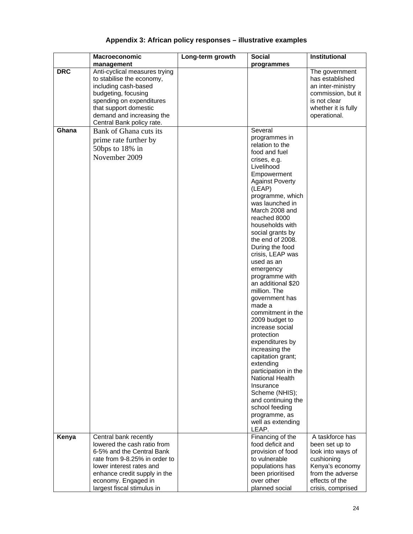## **Appendix 3: African policy responses – illustrative examples**

|            | Macroeconomic                                      | Long-term growth | <b>Social</b>                     | <b>Institutional</b>                |
|------------|----------------------------------------------------|------------------|-----------------------------------|-------------------------------------|
|            | management                                         |                  | programmes                        |                                     |
| <b>DRC</b> | Anti-cyclical measures trying                      |                  |                                   | The government                      |
|            | to stabilise the economy,                          |                  |                                   | has established                     |
|            | including cash-based                               |                  |                                   | an inter-ministry                   |
|            | budgeting, focusing                                |                  |                                   | commission, but it                  |
|            | spending on expenditures                           |                  |                                   | is not clear                        |
|            | that support domestic<br>demand and increasing the |                  |                                   | whether it is fully<br>operational. |
|            | Central Bank policy rate.                          |                  |                                   |                                     |
| Ghana      | Bank of Ghana cuts its                             |                  | Several                           |                                     |
|            |                                                    |                  | programmes in                     |                                     |
|            | prime rate further by                              |                  | relation to the                   |                                     |
|            | 50bps to 18% in                                    |                  | food and fuel                     |                                     |
|            | November 2009                                      |                  | crises, e.g.                      |                                     |
|            |                                                    |                  | Livelihood                        |                                     |
|            |                                                    |                  | Empowerment                       |                                     |
|            |                                                    |                  | <b>Against Poverty</b>            |                                     |
|            |                                                    |                  | (LEAP)                            |                                     |
|            |                                                    |                  | programme, which                  |                                     |
|            |                                                    |                  | was launched in<br>March 2008 and |                                     |
|            |                                                    |                  | reached 8000                      |                                     |
|            |                                                    |                  | households with                   |                                     |
|            |                                                    |                  | social grants by                  |                                     |
|            |                                                    |                  | the end of 2008.                  |                                     |
|            |                                                    |                  | During the food                   |                                     |
|            |                                                    |                  | crisis, LEAP was                  |                                     |
|            |                                                    |                  | used as an                        |                                     |
|            |                                                    |                  | emergency                         |                                     |
|            |                                                    |                  | programme with                    |                                     |
|            |                                                    |                  | an additional \$20                |                                     |
|            |                                                    |                  | million. The                      |                                     |
|            |                                                    |                  | government has<br>made a          |                                     |
|            |                                                    |                  | commitment in the                 |                                     |
|            |                                                    |                  | 2009 budget to                    |                                     |
|            |                                                    |                  | increase social                   |                                     |
|            |                                                    |                  | protection                        |                                     |
|            |                                                    |                  | expenditures by                   |                                     |
|            |                                                    |                  | increasing the                    |                                     |
|            |                                                    |                  | capitation grant;                 |                                     |
|            |                                                    |                  | extending                         |                                     |
|            |                                                    |                  | participation in the              |                                     |
|            |                                                    |                  | <b>National Health</b>            |                                     |
|            |                                                    |                  | Insurance<br>Scheme (NHIS);       |                                     |
|            |                                                    |                  | and continuing the                |                                     |
|            |                                                    |                  | school feeding                    |                                     |
|            |                                                    |                  | programme, as                     |                                     |
|            |                                                    |                  | well as extending                 |                                     |
|            |                                                    |                  | LEAP.                             |                                     |
| Kenya      | Central bank recently                              |                  | Financing of the                  | A taskforce has                     |
|            | lowered the cash ratio from                        |                  | food deficit and                  | been set up to                      |
|            | 6-5% and the Central Bank                          |                  | provision of food                 | look into ways of                   |
|            | rate from 9-8.25% in order to                      |                  | to vulnerable                     | cushioning                          |
|            | lower interest rates and                           |                  | populations has                   | Kenya's economy                     |
|            | enhance credit supply in the                       |                  | been prioritised                  | from the adverse                    |
|            | economy. Engaged in                                |                  | over other                        | effects of the                      |
|            | largest fiscal stimulus in                         |                  | planned social                    | crisis, comprised                   |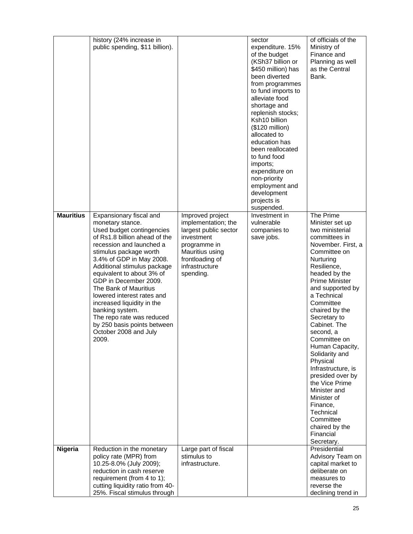|                  | history (24% increase in<br>public spending, \$11 billion).                                                                                                                                                                                                                                                                                                                                                                                                                            |                                                                                                                                                                     | sector<br>expenditure. 15%<br>of the budget<br>(KSh37 billion or<br>\$450 million) has<br>been diverted<br>from programmes<br>to fund imports to<br>alleviate food<br>shortage and<br>replenish stocks;<br>Ksh10 billion<br>(\$120 million)<br>allocated to<br>education has<br>been reallocated<br>to fund food<br>imports;<br>expenditure on<br>non-priority<br>employment and<br>development<br>projects is<br>suspended. | of officials of the<br>Ministry of<br>Finance and<br>Planning as well<br>as the Central<br>Bank.                                                                                                                                                                                                                                                                                                                                                                                                                                           |
|------------------|----------------------------------------------------------------------------------------------------------------------------------------------------------------------------------------------------------------------------------------------------------------------------------------------------------------------------------------------------------------------------------------------------------------------------------------------------------------------------------------|---------------------------------------------------------------------------------------------------------------------------------------------------------------------|------------------------------------------------------------------------------------------------------------------------------------------------------------------------------------------------------------------------------------------------------------------------------------------------------------------------------------------------------------------------------------------------------------------------------|--------------------------------------------------------------------------------------------------------------------------------------------------------------------------------------------------------------------------------------------------------------------------------------------------------------------------------------------------------------------------------------------------------------------------------------------------------------------------------------------------------------------------------------------|
| <b>Mauritius</b> | Expansionary fiscal and<br>monetary stance.<br>Used budget contingencies<br>of Rs1.8 billion ahead of the<br>recession and launched a<br>stimulus package worth<br>3.4% of GDP in May 2008.<br>Additional stimulus package<br>equivalent to about 3% of<br>GDP in December 2009.<br>The Bank of Mauritius<br>lowered interest rates and<br>increased liquidity in the<br>banking system.<br>The repo rate was reduced<br>by 250 basis points between<br>October 2008 and July<br>2009. | Improved project<br>implementation; the<br>largest public sector<br>investment<br>programme in<br>Mauritius using<br>frontloading of<br>infrastructure<br>spending. | Investment in<br>vulnerable<br>companies to<br>save jobs.                                                                                                                                                                                                                                                                                                                                                                    | The Prime<br>Minister set up<br>two ministerial<br>committees in<br>November. First, a<br>Committee on<br>Nurturing<br>Resilience,<br>headed by the<br><b>Prime Minister</b><br>and supported by<br>a Technical<br>Committee<br>chaired by the<br>Secretary to<br>Cabinet. The<br>second, a<br>Committee on<br>Human Capacity,<br>Solidarity and<br>Physical<br>Infrastructure, is<br>presided over by<br>the Vice Prime<br>Minister and<br>Minister of<br>Finance,<br>Technical<br>Committee<br>chaired by the<br>Financial<br>Secretary. |
| Nigeria          | Reduction in the monetary<br>policy rate (MPR) from<br>10.25-8.0% (July 2009);<br>reduction in cash reserve<br>requirement (from 4 to 1);<br>cutting liquidity ratio from 40-                                                                                                                                                                                                                                                                                                          | Large part of fiscal<br>stimulus to<br>infrastructure.                                                                                                              |                                                                                                                                                                                                                                                                                                                                                                                                                              | Presidential<br>Advisory Team on<br>capital market to<br>deliberate on<br>measures to<br>reverse the                                                                                                                                                                                                                                                                                                                                                                                                                                       |
|                  | 25%. Fiscal stimulus through                                                                                                                                                                                                                                                                                                                                                                                                                                                           |                                                                                                                                                                     |                                                                                                                                                                                                                                                                                                                                                                                                                              | declining trend in                                                                                                                                                                                                                                                                                                                                                                                                                                                                                                                         |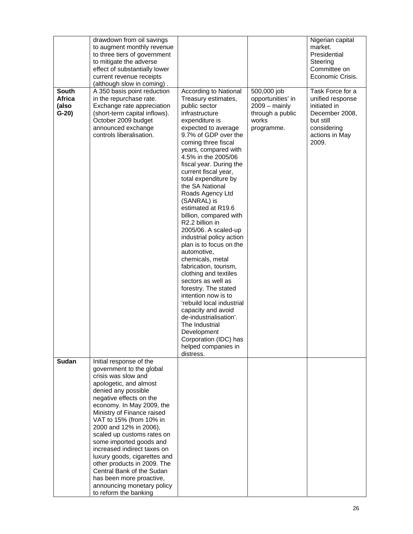|                                            | drawdown from oil savings<br>to augment monthly revenue<br>to three tiers of government<br>to mitigate the adverse<br>effect of substantially lower<br>current revenue receipts<br>(although slow in coming).                                                                                                                                                                                                                                                                                                                                 |                                                                                                                                                                                                                                                                                                                                                                                                                                                                                                                                                                                                                                                                                                                                                                                                                                                |                                                                                                       | Nigerian capital<br>market.<br>Presidential<br>Steering<br>Committee on<br>Economic Crisis.                                   |
|--------------------------------------------|-----------------------------------------------------------------------------------------------------------------------------------------------------------------------------------------------------------------------------------------------------------------------------------------------------------------------------------------------------------------------------------------------------------------------------------------------------------------------------------------------------------------------------------------------|------------------------------------------------------------------------------------------------------------------------------------------------------------------------------------------------------------------------------------------------------------------------------------------------------------------------------------------------------------------------------------------------------------------------------------------------------------------------------------------------------------------------------------------------------------------------------------------------------------------------------------------------------------------------------------------------------------------------------------------------------------------------------------------------------------------------------------------------|-------------------------------------------------------------------------------------------------------|-------------------------------------------------------------------------------------------------------------------------------|
| <b>South</b><br>Africa<br>(also<br>$G-20)$ | A 350 basis point reduction<br>in the repurchase rate.<br>Exchange rate appreciation<br>(short-term capital inflows).<br>October 2009 budget<br>announced exchange<br>controls liberalisation.                                                                                                                                                                                                                                                                                                                                                | According to National<br>Treasury estimates,<br>public sector<br>infrastructure<br>expenditure is<br>expected to average<br>9.7% of GDP over the<br>coming three fiscal<br>years, compared with<br>4.5% in the 2005/06<br>fiscal year. During the<br>current fiscal year,<br>total expenditure by<br>the SA National<br>Roads Agency Ltd<br>(SANRAL) is<br>estimated at R19.6<br>billion, compared with<br>R2.2 billion in<br>2005/06. A scaled-up<br>industrial policy action<br>plan is to focus on the<br>automotive,<br>chemicals, metal<br>fabrication, tourism,<br>clothing and textiles<br>sectors as well as<br>forestry. The stated<br>intention now is to<br>'rebuild local industrial<br>capacity and avoid<br>de-industrialisation'.<br>The Industrial<br>Development<br>Corporation (IDC) has<br>helped companies in<br>distress. | 500,000 job<br>opportunities' in<br>$2009 - \text{mainly}$<br>through a public<br>works<br>programme. | Task Force for a<br>unified response<br>initiated in<br>December 2008,<br>but still<br>considering<br>actions in May<br>2009. |
| Sudan                                      | Initial response of the<br>government to the global<br>crisis was slow and<br>apologetic, and almost<br>denied any possible<br>negative effects on the<br>economy. In May 2009, the<br>Ministry of Finance raised<br>VAT to 15% (from 10% in<br>2000 and 12% in 2006),<br>scaled up customs rates on<br>some imported goods and<br>increased indirect taxes on<br>luxury goods, cigarettes and<br>other products in 2009. The<br>Central Bank of the Sudan<br>has been more proactive,<br>announcing monetary policy<br>to reform the banking |                                                                                                                                                                                                                                                                                                                                                                                                                                                                                                                                                                                                                                                                                                                                                                                                                                                |                                                                                                       |                                                                                                                               |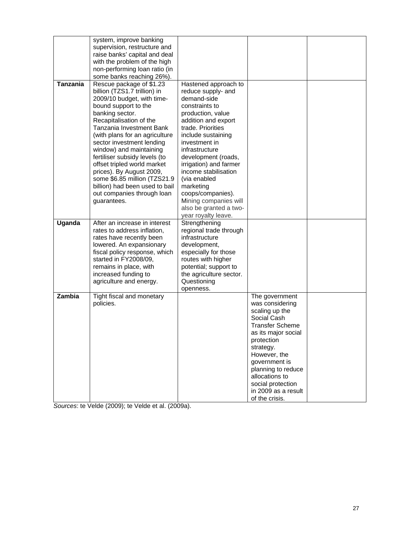|                 | system, improve banking<br>supervision, restructure and<br>raise banks' capital and deal<br>with the problem of the high<br>non-performing loan ratio (in                                                                                                                                                                                                                                                                                                                                                                  |                                                                                                                                                                                                                                                                                                                                                           |                                                                                                                                                                                                                                                                                       |  |
|-----------------|----------------------------------------------------------------------------------------------------------------------------------------------------------------------------------------------------------------------------------------------------------------------------------------------------------------------------------------------------------------------------------------------------------------------------------------------------------------------------------------------------------------------------|-----------------------------------------------------------------------------------------------------------------------------------------------------------------------------------------------------------------------------------------------------------------------------------------------------------------------------------------------------------|---------------------------------------------------------------------------------------------------------------------------------------------------------------------------------------------------------------------------------------------------------------------------------------|--|
| <b>Tanzania</b> | some banks reaching 26%).<br>Rescue package of \$1.23<br>billion (TZS1.7 trillion) in<br>2009/10 budget, with time-<br>bound support to the<br>banking sector.<br>Recapitalisation of the<br>Tanzania Investment Bank<br>(with plans for an agriculture<br>sector investment lending<br>window) and maintaining<br>fertiliser subsidy levels (to<br>offset tripled world market<br>prices). By August 2009,<br>some \$6.85 million (TZS21.9<br>billion) had been used to bail<br>out companies through loan<br>guarantees. | Hastened approach to<br>reduce supply- and<br>demand-side<br>constraints to<br>production, value<br>addition and export<br>trade. Priorities<br>include sustaining<br>investment in<br>infrastructure<br>development (roads,<br>irrigation) and farmer<br>income stabilisation<br>(via enabled<br>marketing<br>coops/companies).<br>Mining companies will |                                                                                                                                                                                                                                                                                       |  |
|                 |                                                                                                                                                                                                                                                                                                                                                                                                                                                                                                                            | also be granted a two-<br>year royalty leave.                                                                                                                                                                                                                                                                                                             |                                                                                                                                                                                                                                                                                       |  |
| Uganda          | After an increase in interest<br>rates to address inflation,<br>rates have recently been<br>lowered. An expansionary<br>fiscal policy response, which<br>started in FY2008/09,<br>remains in place, with<br>increased funding to<br>agriculture and energy.                                                                                                                                                                                                                                                                | Strengthening<br>regional trade through<br>infrastructure<br>development,<br>especially for those<br>routes with higher<br>potential; support to<br>the agriculture sector.<br>Questioning<br>openness.                                                                                                                                                   |                                                                                                                                                                                                                                                                                       |  |
| Zambia          | Tight fiscal and monetary<br>policies.                                                                                                                                                                                                                                                                                                                                                                                                                                                                                     |                                                                                                                                                                                                                                                                                                                                                           | The government<br>was considering<br>scaling up the<br>Social Cash<br><b>Transfer Scheme</b><br>as its major social<br>protection<br>strategy.<br>However, the<br>government is<br>planning to reduce<br>allocations to<br>social protection<br>in 2009 as a result<br>of the crisis. |  |

*Sources*: te Velde (2009); te Velde et al. (2009a).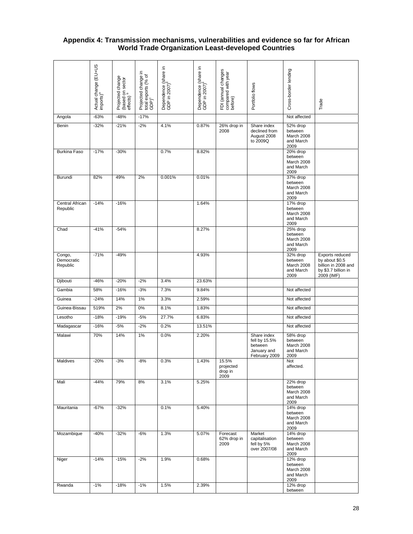## **Appendix 4: Transmission mechanisms, vulnerabilities and evidence so far for African World Trade Organization Least-developed Countries**

|                                  | Actual change (EU+US<br>imports) <sup>a</sup> | Projected change<br>(based on sector<br>effects) <sup>b</sup> | Projected change in<br>total exports (% of<br>GDP) <sup>c</sup> | Dependence (share in<br>GDP in 2007) <sup>d</sup> | Dependence (share in<br>GDP in 2007) <sup>e</sup> | FDI (annual changes<br>compared with year<br>before) | Portfolio flows                                                         | Cross-border lending                                   | Trade                                                                                         |
|----------------------------------|-----------------------------------------------|---------------------------------------------------------------|-----------------------------------------------------------------|---------------------------------------------------|---------------------------------------------------|------------------------------------------------------|-------------------------------------------------------------------------|--------------------------------------------------------|-----------------------------------------------------------------------------------------------|
| Angola                           | $-63%$                                        | $-48%$                                                        | $-17%$                                                          |                                                   |                                                   |                                                      |                                                                         | Not affected                                           |                                                                                               |
| Benin                            | $-32%$                                        | $-21%$                                                        | $-2%$                                                           | 4.1%                                              | 0.87%                                             | 26% drop in                                          | Share index                                                             | 52% drop                                               |                                                                                               |
|                                  |                                               |                                                               |                                                                 |                                                   |                                                   | 2008                                                 | declined from<br>August 2008<br>to 2009Q                                | between<br>March 2008<br>and March<br>2009             |                                                                                               |
| <b>Burkina Faso</b>              | $-17%$                                        | $-30%$                                                        |                                                                 | 0.7%                                              | 8.82%                                             |                                                      |                                                                         | 20% drop<br>between<br>March 2008<br>and March<br>2009 |                                                                                               |
| Burundi                          | 82%                                           | 49%                                                           | 2%                                                              | 0.001%                                            | 0.01%                                             |                                                      |                                                                         | 37% drop<br>between<br>March 2008<br>and March<br>2009 |                                                                                               |
| Central African<br>Republic      | $-14%$                                        | $-16%$                                                        |                                                                 |                                                   | 1.64%                                             |                                                      |                                                                         | 17% drop<br>between<br>March 2008<br>and March<br>2009 |                                                                                               |
| Chad                             | $-41%$                                        | $-54%$                                                        |                                                                 |                                                   | 8.27%                                             |                                                      |                                                                         | 25% drop<br>between<br>March 2008<br>and March<br>2009 |                                                                                               |
| Congo,<br>Democratic<br>Republic | $-71%$                                        | $-49%$                                                        |                                                                 |                                                   | 4.93%                                             |                                                      |                                                                         | 32% drop<br>between<br>March 2008<br>and March<br>2009 | Exports reduced<br>by about \$0.5<br>billion in 2008 and<br>by \$3.7 billion in<br>2009 (IMF) |
| Djibouti                         | $-46%$                                        | $-20%$                                                        | $-2%$                                                           | 3.4%                                              | 23.63%                                            |                                                      |                                                                         |                                                        |                                                                                               |
| Gambia                           | 58%                                           | $-16%$                                                        | $-3%$                                                           | 7.3%                                              | 9.84%                                             |                                                      |                                                                         | Not affected                                           |                                                                                               |
| Guinea                           | $-24%$                                        | 14%                                                           | 1%                                                              | 3.3%                                              | 2.59%                                             |                                                      |                                                                         | Not affected                                           |                                                                                               |
| Guinea-Bissau                    | 519%                                          | 2%                                                            | 0%                                                              | 8.1%                                              | 1.83%                                             |                                                      |                                                                         | Not affected                                           |                                                                                               |
| Lesotho                          | $-18%$                                        | $-19%$                                                        | $-5%$                                                           | 27.7%                                             | 6.83%                                             |                                                      |                                                                         | Not affected                                           |                                                                                               |
| Madagascar                       | $-16%$                                        | $-5%$                                                         | $-2%$                                                           | 0.2%                                              | 13.51%                                            |                                                      |                                                                         | Not affected                                           |                                                                                               |
| Malawi                           | 70%                                           | 14%                                                           | 1%                                                              | 0.0%                                              | 2.20%                                             |                                                      | Share index<br>fell by 15.5%<br>between<br>January and<br>February 2009 | 58% drop<br>between<br>March 2008<br>and March<br>2009 |                                                                                               |
| Maldives                         | $-20%$                                        | $-3%$                                                         | $-8%$                                                           | 0.3%                                              | 1.43%                                             | 15.5%<br>projected<br>drop in<br>2009                |                                                                         | Not<br>affected.                                       |                                                                                               |
| Mali                             | $-44%$                                        | 79%                                                           | 8%                                                              | 3.1%                                              | 5.25%                                             |                                                      |                                                                         | 22% drop<br>between<br>March 2008<br>and March<br>2009 |                                                                                               |
| Mauritania                       | $-67%$                                        | $-32%$                                                        |                                                                 | 0.1%                                              | 5.40%                                             |                                                      |                                                                         | 14% drop<br>between<br>March 2008<br>and March<br>2009 |                                                                                               |
| Mozambique                       | $-40%$                                        | $-32%$                                                        | $-6%$                                                           | 1.3%                                              | 5.07%                                             | Forecast<br>62% drop in<br>2009                      | Market<br>capitalisation<br>fell by 5%<br>over 2007/08                  | 14% drop<br>between<br>March 2008<br>and March<br>2009 |                                                                                               |
| Niger                            | $-14%$                                        | $-15%$                                                        | $-2%$                                                           | 1.9%                                              | 0.68%                                             |                                                      |                                                                         | 12% drop<br>between<br>March 2008<br>and March<br>2009 |                                                                                               |
| Rwanda                           | $-1%$                                         | $-18%$                                                        | $-1%$                                                           | 1.5%                                              | 2.39%                                             |                                                      |                                                                         | 12% drop<br>between                                    |                                                                                               |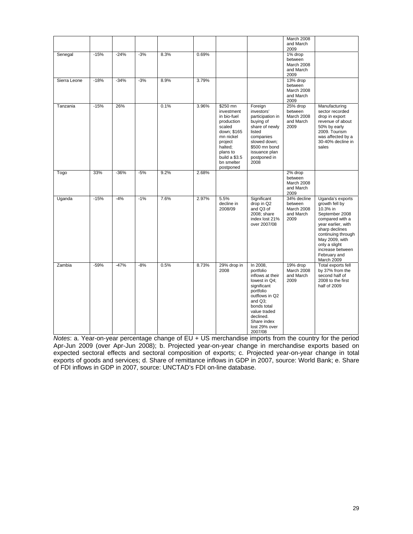|              |        |        |       |      |       |                                                                                                                                                                         |                                                                                                                                                                                                            | March 2008<br>and March<br>2009                           |                                                                                                                                                                                                                                        |
|--------------|--------|--------|-------|------|-------|-------------------------------------------------------------------------------------------------------------------------------------------------------------------------|------------------------------------------------------------------------------------------------------------------------------------------------------------------------------------------------------------|-----------------------------------------------------------|----------------------------------------------------------------------------------------------------------------------------------------------------------------------------------------------------------------------------------------|
| Senegal      | $-15%$ | $-24%$ | $-3%$ | 8.3% | 0.69% |                                                                                                                                                                         |                                                                                                                                                                                                            | 1% drop<br>between<br>March 2008<br>and March<br>2009     |                                                                                                                                                                                                                                        |
| Sierra Leone | $-18%$ | $-34%$ | $-3%$ | 8.9% | 3.79% |                                                                                                                                                                         |                                                                                                                                                                                                            | 13% drop<br>between<br>March 2008<br>and March<br>2009    |                                                                                                                                                                                                                                        |
| Tanzania     | $-15%$ | 26%    |       | 0.1% | 3.96% | \$250 mn<br>investment<br>in bio-fuel<br>production<br>scaled<br>down; \$165<br>mn nickel<br>project<br>halted;<br>plans to<br>build a \$3.5<br>bn smelter<br>postponed | Foreign<br>investors'<br>participation in<br>buying of<br>share of newly<br>listed<br>companies<br>slowed down;<br>\$500 mn bond<br>issuance plan<br>postponed in<br>2008                                  | 25% drop<br>between<br>March 2008<br>and March<br>2009    | Manufacturing<br>sector recorded<br>drop in export<br>revenue of about<br>50% by early<br>2009. Tourism<br>was affected by a<br>30-40% decline in<br>sales                                                                             |
| Togo         | 33%    | $-36%$ | $-5%$ | 9.2% | 2.68% |                                                                                                                                                                         |                                                                                                                                                                                                            | 2% drop<br>between<br>March 2008<br>and March<br>2009     |                                                                                                                                                                                                                                        |
| Uganda       | $-15%$ | $-4%$  | $-1%$ | 7.6% | 2.97% | 5.5%<br>decline in<br>2008/09                                                                                                                                           | Significant<br>drop in Q2<br>and Q3 of<br>2008; share<br>index lost 21%<br>over 2007/08                                                                                                                    | 34% decline<br>between<br>March 2008<br>and March<br>2009 | Uganda's exports<br>growth fell by<br>10.3% in<br>September 2008<br>compared with a<br>year earlier, with<br>sharp declines<br>continuing through<br>May 2009, with<br>only a slight<br>increase between<br>February and<br>March 2009 |
| Zambia       | $-59%$ | $-47%$ | $-8%$ | 0.5% | 8.73% | 29% drop in<br>2008                                                                                                                                                     | In 2008,<br>portfolio<br>inflows at their<br>lowest in Q4;<br>significant<br>portfolio<br>outflows in Q2<br>and Q3:<br>bonds total<br>value traded<br>declined.<br>Share index<br>lost 29% over<br>2007/08 | 19% drop<br>March 2008<br>and March<br>2009               | Total exports fell<br>by 37% from the<br>second half of<br>2008 to the first<br>half of 2009                                                                                                                                           |

*Notes*: a. Year-on-year percentage change of EU + US merchandise imports from the country for the period Apr-Jun 2009 (over Apr-Jun 2008); b. Projected year-on-year change in merchandise exports based on expected sectoral effects and sectoral composition of exports; c. Projected year-on-year change in total exports of goods and services; d. Share of remittance inflows in GDP in 2007, source: World Bank; e. Share of FDI inflows in GDP in 2007, source: UNCTAD's FDI on-line database.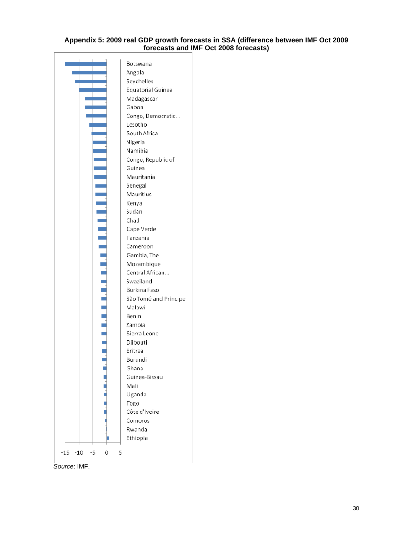#### **Appendix 5: 2009 real GDP growth forecasts in SSA (difference between IMF Oct 2009 forecasts and IMF Oct 2008 forecasts)**

| Angola<br>Seychelles<br>Equatorial Guinea<br>Madagascar<br>Gabon<br>Congo, Democratic<br>Lesotho<br>South Africa<br>Nigeria<br>Namibia<br>Congo, Republic of<br>Guinea<br>Mauritania<br>Senegal<br>Mauritius<br>Kenya<br>Sudan<br>Chad<br>Cape Verde<br>Tanzania<br>Cameroon<br>Gambia, The<br>Mozambique<br>Central African |
|------------------------------------------------------------------------------------------------------------------------------------------------------------------------------------------------------------------------------------------------------------------------------------------------------------------------------|
|                                                                                                                                                                                                                                                                                                                              |
|                                                                                                                                                                                                                                                                                                                              |
|                                                                                                                                                                                                                                                                                                                              |
|                                                                                                                                                                                                                                                                                                                              |
|                                                                                                                                                                                                                                                                                                                              |
|                                                                                                                                                                                                                                                                                                                              |
|                                                                                                                                                                                                                                                                                                                              |
|                                                                                                                                                                                                                                                                                                                              |
|                                                                                                                                                                                                                                                                                                                              |
|                                                                                                                                                                                                                                                                                                                              |
|                                                                                                                                                                                                                                                                                                                              |
|                                                                                                                                                                                                                                                                                                                              |
|                                                                                                                                                                                                                                                                                                                              |
|                                                                                                                                                                                                                                                                                                                              |
|                                                                                                                                                                                                                                                                                                                              |
|                                                                                                                                                                                                                                                                                                                              |
|                                                                                                                                                                                                                                                                                                                              |
|                                                                                                                                                                                                                                                                                                                              |
|                                                                                                                                                                                                                                                                                                                              |
|                                                                                                                                                                                                                                                                                                                              |
|                                                                                                                                                                                                                                                                                                                              |
|                                                                                                                                                                                                                                                                                                                              |
|                                                                                                                                                                                                                                                                                                                              |
|                                                                                                                                                                                                                                                                                                                              |
| Swaziland                                                                                                                                                                                                                                                                                                                    |
| Burkina Faso                                                                                                                                                                                                                                                                                                                 |
| São Tomé and Príncipe                                                                                                                                                                                                                                                                                                        |
| Malawi                                                                                                                                                                                                                                                                                                                       |
| Benin                                                                                                                                                                                                                                                                                                                        |
| Zambia                                                                                                                                                                                                                                                                                                                       |
| Sierra Leone                                                                                                                                                                                                                                                                                                                 |
| Djibouti                                                                                                                                                                                                                                                                                                                     |
| Eritrea                                                                                                                                                                                                                                                                                                                      |
| Burundi                                                                                                                                                                                                                                                                                                                      |
| Ghana                                                                                                                                                                                                                                                                                                                        |
| Guinea-Bissau                                                                                                                                                                                                                                                                                                                |
| Mali                                                                                                                                                                                                                                                                                                                         |
| Uganda                                                                                                                                                                                                                                                                                                                       |
| Togo                                                                                                                                                                                                                                                                                                                         |
| Côte d'Ivoire                                                                                                                                                                                                                                                                                                                |
| Comoros                                                                                                                                                                                                                                                                                                                      |
| Rwanda                                                                                                                                                                                                                                                                                                                       |
|                                                                                                                                                                                                                                                                                                                              |
| Ethiopia                                                                                                                                                                                                                                                                                                                     |
|                                                                                                                                                                                                                                                                                                                              |

*Source*: IMF.

 $\Gamma$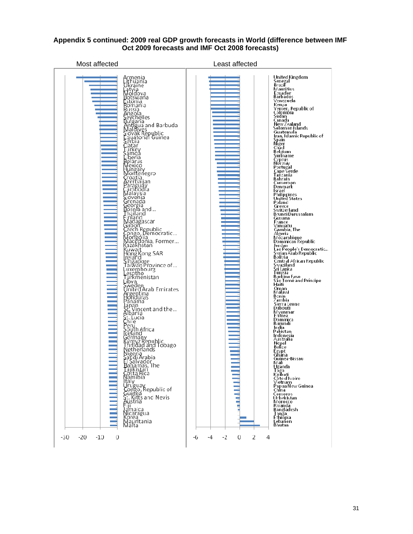

## **Appendix 5 continued: 2009 real GDP growth forecasts in World (difference between IMF Oct 2009 forecasts and IMF Oct 2008 forecasts)**